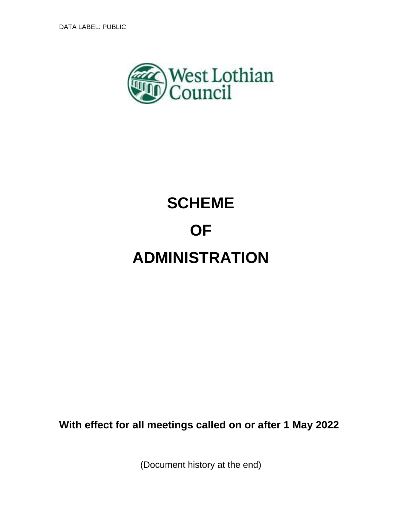

# **SCHEME OF ADMINISTRATION**

**With effect for all meetings called on or after 1 May 2022**

(Document history at the end)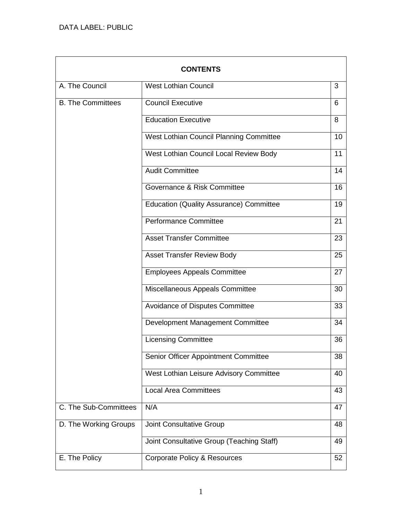| <b>CONTENTS</b>          |                                                |    |  |
|--------------------------|------------------------------------------------|----|--|
| A. The Council           | <b>West Lothian Council</b>                    | 3  |  |
| <b>B.</b> The Committees | <b>Council Executive</b>                       | 6  |  |
|                          | <b>Education Executive</b>                     | 8  |  |
|                          | West Lothian Council Planning Committee        | 10 |  |
|                          | West Lothian Council Local Review Body         | 11 |  |
|                          | <b>Audit Committee</b>                         | 14 |  |
|                          | Governance & Risk Committee                    | 16 |  |
|                          | <b>Education (Quality Assurance) Committee</b> | 19 |  |
|                          | <b>Performance Committee</b>                   | 21 |  |
|                          | <b>Asset Transfer Committee</b>                | 23 |  |
|                          | <b>Asset Transfer Review Body</b>              | 25 |  |
|                          | <b>Employees Appeals Committee</b>             | 27 |  |
|                          | Miscellaneous Appeals Committee                | 30 |  |
|                          | Avoidance of Disputes Committee                | 33 |  |
|                          | Development Management Committee               | 34 |  |
|                          | <b>Licensing Committee</b>                     | 36 |  |
|                          | Senior Officer Appointment Committee           | 38 |  |
|                          | West Lothian Leisure Advisory Committee        | 40 |  |
|                          | <b>Local Area Committees</b>                   | 43 |  |
| C. The Sub-Committees    | N/A                                            | 47 |  |
| D. The Working Groups    | Joint Consultative Group                       | 48 |  |
|                          | Joint Consultative Group (Teaching Staff)      | 49 |  |
| E. The Policy            | <b>Corporate Policy &amp; Resources</b>        | 52 |  |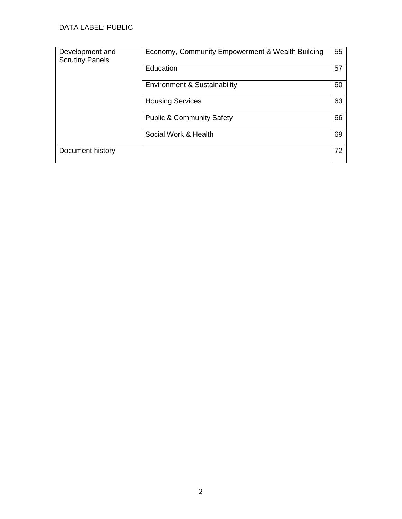| Development and<br><b>Scrutiny Panels</b> | Economy, Community Empowerment & Wealth Building | 55 |
|-------------------------------------------|--------------------------------------------------|----|
|                                           | Education                                        | 57 |
|                                           | <b>Environment &amp; Sustainability</b>          | 60 |
|                                           | <b>Housing Services</b>                          | 63 |
|                                           | <b>Public &amp; Community Safety</b>             | 66 |
|                                           | Social Work & Health                             | 69 |
| Document history                          |                                                  | 72 |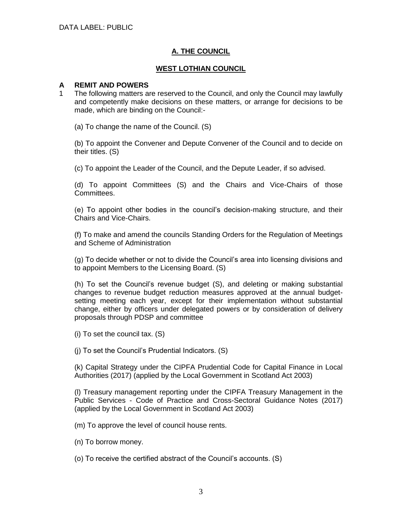# **A. THE COUNCIL**

## **WEST LOTHIAN COUNCIL**

#### **A REMIT AND POWERS**

1 The following matters are reserved to the Council, and only the Council may lawfully and competently make decisions on these matters, or arrange for decisions to be made, which are binding on the Council:-

(a) To change the name of the Council. (S)

(b) To appoint the Convener and Depute Convener of the Council and to decide on their titles. (S)

(c) To appoint the Leader of the Council, and the Depute Leader, if so advised.

(d) To appoint Committees (S) and the Chairs and Vice-Chairs of those Committees.

(e) To appoint other bodies in the council's decision-making structure, and their Chairs and Vice-Chairs.

(f) To make and amend the councils Standing Orders for the Regulation of Meetings and Scheme of Administration

(g) To decide whether or not to divide the Council's area into licensing divisions and to appoint Members to the Licensing Board. (S)

(h) To set the Council's revenue budget (S), and deleting or making substantial changes to revenue budget reduction measures approved at the annual budgetsetting meeting each year, except for their implementation without substantial change, either by officers under delegated powers or by consideration of delivery proposals through PDSP and committee

(i) To set the council tax. (S)

(j) To set the Council's Prudential Indicators. (S)

(k) Capital Strategy under the CIPFA Prudential Code for Capital Finance in Local Authorities (2017) (applied by the Local Government in Scotland Act 2003)

(l) Treasury management reporting under the CIPFA Treasury Management in the Public Services - Code of Practice and Cross-Sectoral Guidance Notes (2017) (applied by the Local Government in Scotland Act 2003)

(m) To approve the level of council house rents.

(n) To borrow money.

(o) To receive the certified abstract of the Council's accounts. (S)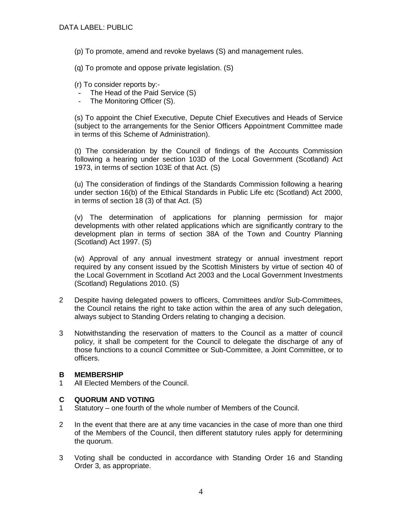(p) To promote, amend and revoke byelaws (S) and management rules.

(q) To promote and oppose private legislation. (S)

- (r) To consider reports by:-
- The Head of the Paid Service (S)
- The Monitoring Officer (S).

(s) To appoint the Chief Executive, Depute Chief Executives and Heads of Service (subject to the arrangements for the Senior Officers Appointment Committee made in terms of this Scheme of Administration).

(t) The consideration by the Council of findings of the Accounts Commission following a hearing under section 103D of the Local Government (Scotland) Act 1973, in terms of section 103E of that Act. (S)

(u) The consideration of findings of the Standards Commission following a hearing under section 16(b) of the Ethical Standards in Public Life etc (Scotland) Act 2000, in terms of section 18 (3) of that Act. (S)

(v) The determination of applications for planning permission for major developments with other related applications which are significantly contrary to the development plan in terms of section 38A of the Town and Country Planning (Scotland) Act 1997. (S)

(w) Approval of any annual investment strategy or annual investment report required by any consent issued by the Scottish Ministers by virtue of section 40 of the Local Government in Scotland Act 2003 and the Local Government Investments (Scotland) Regulations 2010. (S)

- 2 Despite having delegated powers to officers, Committees and/or Sub-Committees, the Council retains the right to take action within the area of any such delegation, always subject to Standing Orders relating to changing a decision.
- 3 Notwithstanding the reservation of matters to the Council as a matter of council policy, it shall be competent for the Council to delegate the discharge of any of those functions to a council Committee or Sub-Committee, a Joint Committee, or to officers.

## **B MEMBERSHIP**

1 All Elected Members of the Council.

## **C QUORUM AND VOTING**

- 1 Statutory one fourth of the whole number of Members of the Council.
- 2 In the event that there are at any time vacancies in the case of more than one third of the Members of the Council, then different statutory rules apply for determining the quorum.
- 3 Voting shall be conducted in accordance with Standing Order 16 and Standing Order 3, as appropriate.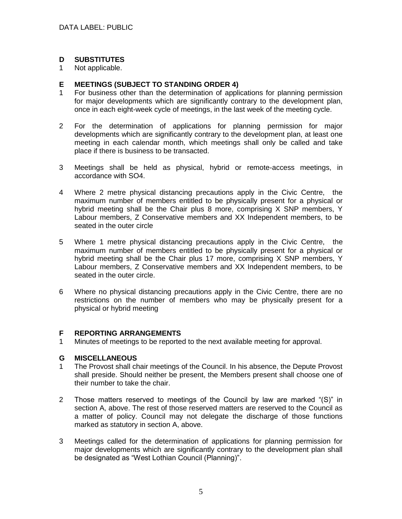# **D SUBSTITUTES**

1 Not applicable.

## **E MEETINGS (SUBJECT TO STANDING ORDER 4)**

- 1 For business other than the determination of applications for planning permission for major developments which are significantly contrary to the development plan, once in each eight-week cycle of meetings, in the last week of the meeting cycle.
- 2 For the determination of applications for planning permission for major developments which are significantly contrary to the development plan, at least one meeting in each calendar month, which meetings shall only be called and take place if there is business to be transacted.
- 3 Meetings shall be held as physical, hybrid or remote-access meetings, in accordance with SO4.
- 4 Where 2 metre physical distancing precautions apply in the Civic Centre, the maximum number of members entitled to be physically present for a physical or hybrid meeting shall be the Chair plus 8 more, comprising X SNP members, Y Labour members, Z Conservative members and XX Independent members, to be seated in the outer circle
- 5 Where 1 metre physical distancing precautions apply in the Civic Centre, the maximum number of members entitled to be physically present for a physical or hybrid meeting shall be the Chair plus 17 more, comprising X SNP members, Y Labour members, Z Conservative members and XX Independent members, to be seated in the outer circle.
- 6 Where no physical distancing precautions apply in the Civic Centre, there are no restrictions on the number of members who may be physically present for a physical or hybrid meeting

## **F REPORTING ARRANGEMENTS**

1 Minutes of meetings to be reported to the next available meeting for approval.

- 1 The Provost shall chair meetings of the Council. In his absence, the Depute Provost shall preside. Should neither be present, the Members present shall choose one of their number to take the chair.
- 2 Those matters reserved to meetings of the Council by law are marked "(S)" in section A, above. The rest of those reserved matters are reserved to the Council as a matter of policy. Council may not delegate the discharge of those functions marked as statutory in section A, above.
- 3 Meetings called for the determination of applications for planning permission for major developments which are significantly contrary to the development plan shall be designated as "West Lothian Council (Planning)".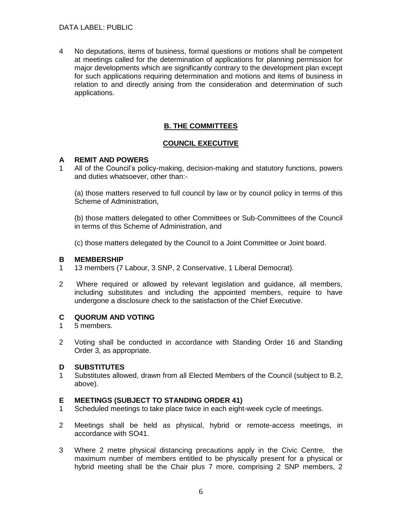4 No deputations, items of business, formal questions or motions shall be competent at meetings called for the determination of applications for planning permission for major developments which are significantly contrary to the development plan except for such applications requiring determination and motions and items of business in relation to and directly arising from the consideration and determination of such applications.

# **B. THE COMMITTEES**

# **COUNCIL EXECUTIVE**

## **A REMIT AND POWERS**

1 All of the Council's policy-making, decision-making and statutory functions, powers and duties whatsoever, other than:-

(a) those matters reserved to full council by law or by council policy in terms of this Scheme of Administration,

(b) those matters delegated to other Committees or Sub-Committees of the Council in terms of this Scheme of Administration, and

(c) those matters delegated by the Council to a Joint Committee or Joint board.

#### **B MEMBERSHIP**

- 1 13 members (7 Labour, 3 SNP, 2 Conservative, 1 Liberal Democrat).
- 2 Where required or allowed by relevant legislation and guidance, all members, including substitutes and including the appointed members, require to have undergone a disclosure check to the satisfaction of the Chief Executive.

## **C QUORUM AND VOTING**

1 5 members.

2 Voting shall be conducted in accordance with Standing Order 16 and Standing Order 3, as appropriate.

## **D SUBSTITUTES**

1 Substitutes allowed, drawn from all Elected Members of the Council (subject to B.2, above).

- 1 Scheduled meetings to take place twice in each eight-week cycle of meetings.
- 2 Meetings shall be held as physical, hybrid or remote-access meetings, in accordance with SO41.
- 3 Where 2 metre physical distancing precautions apply in the Civic Centre, the maximum number of members entitled to be physically present for a physical or hybrid meeting shall be the Chair plus 7 more, comprising 2 SNP members, 2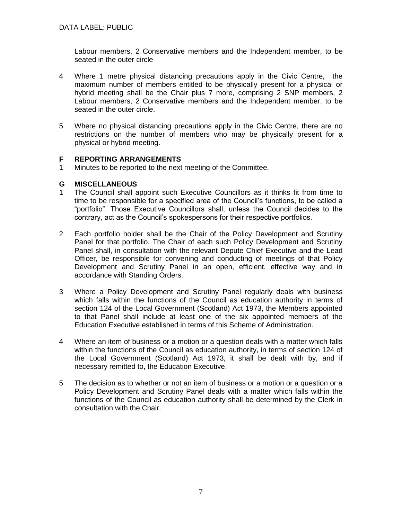Labour members, 2 Conservative members and the Independent member, to be seated in the outer circle

- 4 Where 1 metre physical distancing precautions apply in the Civic Centre, the maximum number of members entitled to be physically present for a physical or hybrid meeting shall be the Chair plus 7 more, comprising 2 SNP members, 2 Labour members, 2 Conservative members and the Independent member, to be seated in the outer circle.
- 5 Where no physical distancing precautions apply in the Civic Centre, there are no restrictions on the number of members who may be physically present for a physical or hybrid meeting.

## **F REPORTING ARRANGEMENTS**

1 Minutes to be reported to the next meeting of the Committee.

- 1 The Council shall appoint such Executive Councillors as it thinks fit from time to time to be responsible for a specified area of the Council's functions, to be called a "portfolio". Those Executive Councillors shall, unless the Council decides to the contrary, act as the Council's spokespersons for their respective portfolios.
- 2 Each portfolio holder shall be the Chair of the Policy Development and Scrutiny Panel for that portfolio. The Chair of each such Policy Development and Scrutiny Panel shall, in consultation with the relevant Depute Chief Executive and the Lead Officer, be responsible for convening and conducting of meetings of that Policy Development and Scrutiny Panel in an open, efficient, effective way and in accordance with Standing Orders.
- 3 Where a Policy Development and Scrutiny Panel regularly deals with business which falls within the functions of the Council as education authority in terms of section 124 of the Local Government (Scotland) Act 1973, the Members appointed to that Panel shall include at least one of the six appointed members of the Education Executive established in terms of this Scheme of Administration.
- 4 Where an item of business or a motion or a question deals with a matter which falls within the functions of the Council as education authority, in terms of section 124 of the Local Government (Scotland) Act 1973, it shall be dealt with by, and if necessary remitted to, the Education Executive.
- 5 The decision as to whether or not an item of business or a motion or a question or a Policy Development and Scrutiny Panel deals with a matter which falls within the functions of the Council as education authority shall be determined by the Clerk in consultation with the Chair.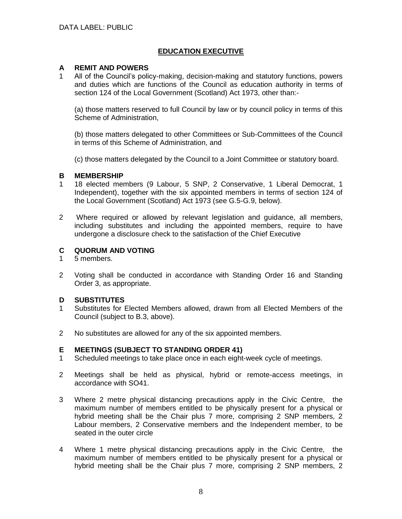# **EDUCATION EXECUTIVE**

## **A REMIT AND POWERS**

1 All of the Council's policy-making, decision-making and statutory functions, powers and duties which are functions of the Council as education authority in terms of section 124 of the Local Government (Scotland) Act 1973, other than:-

(a) those matters reserved to full Council by law or by council policy in terms of this Scheme of Administration,

(b) those matters delegated to other Committees or Sub-Committees of the Council in terms of this Scheme of Administration, and

(c) those matters delegated by the Council to a Joint Committee or statutory board.

#### **B MEMBERSHIP**

- 1 18 elected members (9 Labour, 5 SNP, 2 Conservative, 1 Liberal Democrat, 1 Independent), together with the six appointed members in terms of section 124 of the Local Government (Scotland) Act 1973 (see G.5-G.9, below).
- 2 Where required or allowed by relevant legislation and guidance, all members, including substitutes and including the appointed members, require to have undergone a disclosure check to the satisfaction of the Chief Executive

#### **C QUORUM AND VOTING**

1 5 members.

2 Voting shall be conducted in accordance with Standing Order 16 and Standing Order 3, as appropriate.

#### **D SUBSTITUTES**

- 1 Substitutes for Elected Members allowed, drawn from all Elected Members of the Council (subject to B.3, above).
- 2 No substitutes are allowed for any of the six appointed members.

- 1 Scheduled meetings to take place once in each eight-week cycle of meetings.
- 2 Meetings shall be held as physical, hybrid or remote-access meetings, in accordance with SO41.
- 3 Where 2 metre physical distancing precautions apply in the Civic Centre, the maximum number of members entitled to be physically present for a physical or hybrid meeting shall be the Chair plus 7 more, comprising 2 SNP members, 2 Labour members, 2 Conservative members and the Independent member, to be seated in the outer circle
- 4 Where 1 metre physical distancing precautions apply in the Civic Centre, the maximum number of members entitled to be physically present for a physical or hybrid meeting shall be the Chair plus 7 more, comprising 2 SNP members, 2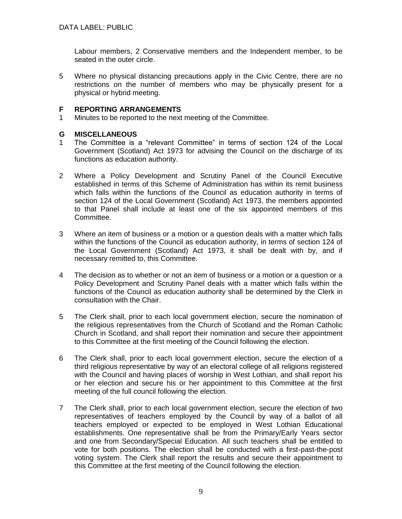Labour members, 2 Conservative members and the Independent member, to be seated in the outer circle.

5 Where no physical distancing precautions apply in the Civic Centre, there are no restrictions on the number of members who may be physically present for a physical or hybrid meeting.

#### **F REPORTING ARRANGEMENTS**

1 Minutes to be reported to the next meeting of the Committee.

- 1 The Committee is a "relevant Committee" in terms of section 124 of the Local Government (Scotland) Act 1973 for advising the Council on the discharge of its functions as education authority.
- 2 Where a Policy Development and Scrutiny Panel of the Council Executive established in terms of this Scheme of Administration has within its remit business which falls within the functions of the Council as education authority in terms of section 124 of the Local Government (Scotland) Act 1973, the members appointed to that Panel shall include at least one of the six appointed members of this Committee.
- 3 Where an item of business or a motion or a question deals with a matter which falls within the functions of the Council as education authority, in terms of section 124 of the Local Government (Scotland) Act 1973, it shall be dealt with by, and if necessary remitted to, this Committee.
- 4 The decision as to whether or not an item of business or a motion or a question or a Policy Development and Scrutiny Panel deals with a matter which falls within the functions of the Council as education authority shall be determined by the Clerk in consultation with the Chair.
- 5 The Clerk shall, prior to each local government election, secure the nomination of the religious representatives from the Church of Scotland and the Roman Catholic Church in Scotland, and shall report their nomination and secure their appointment to this Committee at the first meeting of the Council following the election.
- 6 The Clerk shall, prior to each local government election, secure the election of a third religious representative by way of an electoral college of all religions registered with the Council and having places of worship in West Lothian, and shall report his or her election and secure his or her appointment to this Committee at the first meeting of the full council following the election.
- 7 The Clerk shall, prior to each local government election, secure the election of two representatives of teachers employed by the Council by way of a ballot of all teachers employed or expected to be employed in West Lothian Educational establishments. One representative shall be from the Primary/Early Years sector and one from Secondary/Special Education. All such teachers shall be entitled to vote for both positions. The election shall be conducted with a first-past-the-post voting system. The Clerk shall report the results and secure their appointment to this Committee at the first meeting of the Council following the election.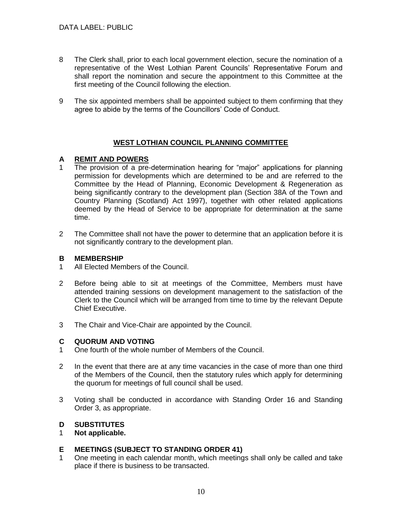- 8 The Clerk shall, prior to each local government election, secure the nomination of a representative of the West Lothian Parent Councils' Representative Forum and shall report the nomination and secure the appointment to this Committee at the first meeting of the Council following the election.
- 9 The six appointed members shall be appointed subject to them confirming that they agree to abide by the terms of the Councillors' Code of Conduct.

# **WEST LOTHIAN COUNCIL PLANNING COMMITTEE**

# **A REMIT AND POWERS**

- 1 The provision of a pre-determination hearing for "major" applications for planning permission for developments which are determined to be and are referred to the Committee by the Head of Planning, Economic Development & Regeneration as being significantly contrary to the development plan (Section 38A of the Town and Country Planning (Scotland) Act 1997), together with other related applications deemed by the Head of Service to be appropriate for determination at the same time.
- 2 The Committee shall not have the power to determine that an application before it is not significantly contrary to the development plan.

## **B MEMBERSHIP**

- 1 All Elected Members of the Council.
- 2 Before being able to sit at meetings of the Committee, Members must have attended training sessions on development management to the satisfaction of the Clerk to the Council which will be arranged from time to time by the relevant Depute Chief Executive.
- 3 The Chair and Vice-Chair are appointed by the Council.

## **C QUORUM AND VOTING**

- 1 One fourth of the whole number of Members of the Council.
- 2 In the event that there are at any time vacancies in the case of more than one third of the Members of the Council, then the statutory rules which apply for determining the quorum for meetings of full council shall be used.
- 3 Voting shall be conducted in accordance with Standing Order 16 and Standing Order 3, as appropriate.

## **D SUBSTITUTES**

## 1 **Not applicable.**

## **E MEETINGS (SUBJECT TO STANDING ORDER 41)**

1 One meeting in each calendar month, which meetings shall only be called and take place if there is business to be transacted.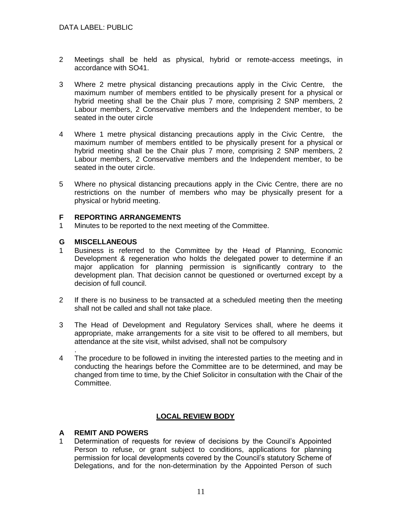- 2 Meetings shall be held as physical, hybrid or remote-access meetings, in accordance with SO41.
- 3 Where 2 metre physical distancing precautions apply in the Civic Centre, the maximum number of members entitled to be physically present for a physical or hybrid meeting shall be the Chair plus 7 more, comprising 2 SNP members, 2 Labour members, 2 Conservative members and the Independent member, to be seated in the outer circle
- 4 Where 1 metre physical distancing precautions apply in the Civic Centre, the maximum number of members entitled to be physically present for a physical or hybrid meeting shall be the Chair plus 7 more, comprising 2 SNP members, 2 Labour members, 2 Conservative members and the Independent member, to be seated in the outer circle.
- 5 Where no physical distancing precautions apply in the Civic Centre, there are no restrictions on the number of members who may be physically present for a physical or hybrid meeting.

## **F REPORTING ARRANGEMENTS**

1 Minutes to be reported to the next meeting of the Committee.

## **G MISCELLANEOUS**

.

- 1 Business is referred to the Committee by the Head of Planning, Economic Development & regeneration who holds the delegated power to determine if an major application for planning permission is significantly contrary to the development plan. That decision cannot be questioned or overturned except by a decision of full council.
- 2 If there is no business to be transacted at a scheduled meeting then the meeting shall not be called and shall not take place.
- 3 The Head of Development and Regulatory Services shall, where he deems it appropriate, make arrangements for a site visit to be offered to all members, but attendance at the site visit, whilst advised, shall not be compulsory
- 4 The procedure to be followed in inviting the interested parties to the meeting and in conducting the hearings before the Committee are to be determined, and may be changed from time to time, by the Chief Solicitor in consultation with the Chair of the Committee.

## **LOCAL REVIEW BODY**

## **A REMIT AND POWERS**

1 Determination of requests for review of decisions by the Council's Appointed Person to refuse, or grant subject to conditions, applications for planning permission for local developments covered by the Council's statutory Scheme of Delegations, and for the non-determination by the Appointed Person of such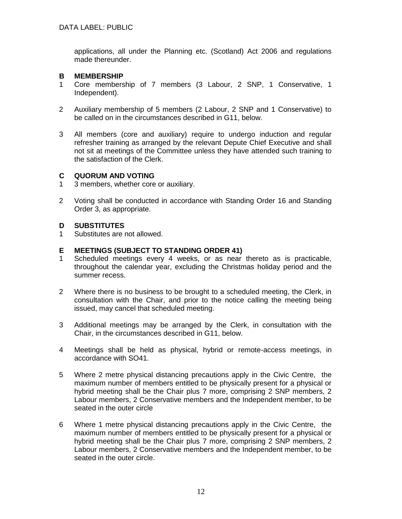applications, all under the Planning etc. (Scotland) Act 2006 and regulations made thereunder.

## **B MEMBERSHIP**

- 1 Core membership of 7 members (3 Labour, 2 SNP, 1 Conservative, 1 Independent).
- 2 Auxiliary membership of 5 members (2 Labour, 2 SNP and 1 Conservative) to be called on in the circumstances described in G11, below.
- 3 All members (core and auxiliary) require to undergo induction and regular refresher training as arranged by the relevant Depute Chief Executive and shall not sit at meetings of the Committee unless they have attended such training to the satisfaction of the Clerk.

#### **C QUORUM AND VOTING**

- 1 3 members, whether core or auxiliary.
- 2 Voting shall be conducted in accordance with Standing Order 16 and Standing Order 3, as appropriate.

## **D SUBSTITUTES**

1 Substitutes are not allowed.

- 1 Scheduled meetings every 4 weeks, or as near thereto as is practicable, throughout the calendar year, excluding the Christmas holiday period and the summer recess.
- 2 Where there is no business to be brought to a scheduled meeting, the Clerk, in consultation with the Chair, and prior to the notice calling the meeting being issued, may cancel that scheduled meeting.
- 3 Additional meetings may be arranged by the Clerk, in consultation with the Chair, in the circumstances described in G11, below.
- 4 Meetings shall be held as physical, hybrid or remote-access meetings, in accordance with SO41.
- 5 Where 2 metre physical distancing precautions apply in the Civic Centre, the maximum number of members entitled to be physically present for a physical or hybrid meeting shall be the Chair plus 7 more, comprising 2 SNP members, 2 Labour members, 2 Conservative members and the Independent member, to be seated in the outer circle
- 6 Where 1 metre physical distancing precautions apply in the Civic Centre, the maximum number of members entitled to be physically present for a physical or hybrid meeting shall be the Chair plus 7 more, comprising 2 SNP members, 2 Labour members, 2 Conservative members and the Independent member, to be seated in the outer circle.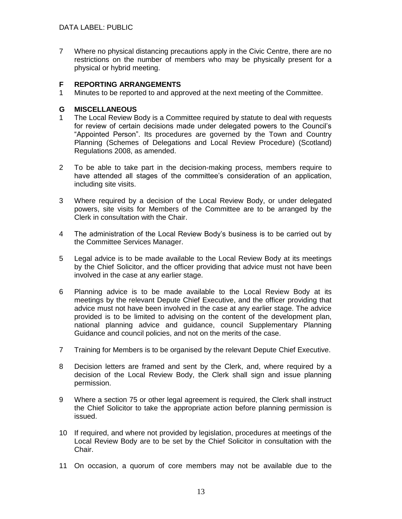7 Where no physical distancing precautions apply in the Civic Centre, there are no restrictions on the number of members who may be physically present for a physical or hybrid meeting.

## **F REPORTING ARRANGEMENTS**

1 Minutes to be reported to and approved at the next meeting of the Committee.

- 1 The Local Review Body is a Committee required by statute to deal with requests for review of certain decisions made under delegated powers to the Council's "Appointed Person". Its procedures are governed by the Town and Country Planning (Schemes of Delegations and Local Review Procedure) (Scotland) Regulations 2008, as amended.
- 2 To be able to take part in the decision-making process, members require to have attended all stages of the committee's consideration of an application, including site visits.
- 3 Where required by a decision of the Local Review Body, or under delegated powers, site visits for Members of the Committee are to be arranged by the Clerk in consultation with the Chair.
- 4 The administration of the Local Review Body's business is to be carried out by the Committee Services Manager.
- 5 Legal advice is to be made available to the Local Review Body at its meetings by the Chief Solicitor, and the officer providing that advice must not have been involved in the case at any earlier stage.
- 6 Planning advice is to be made available to the Local Review Body at its meetings by the relevant Depute Chief Executive, and the officer providing that advice must not have been involved in the case at any earlier stage. The advice provided is to be limited to advising on the content of the development plan, national planning advice and guidance, council Supplementary Planning Guidance and council policies, and not on the merits of the case.
- 7 Training for Members is to be organised by the relevant Depute Chief Executive.
- 8 Decision letters are framed and sent by the Clerk, and, where required by a decision of the Local Review Body, the Clerk shall sign and issue planning permission.
- 9 Where a section 75 or other legal agreement is required, the Clerk shall instruct the Chief Solicitor to take the appropriate action before planning permission is issued.
- 10 If required, and where not provided by legislation, procedures at meetings of the Local Review Body are to be set by the Chief Solicitor in consultation with the Chair.
- 11 On occasion, a quorum of core members may not be available due to the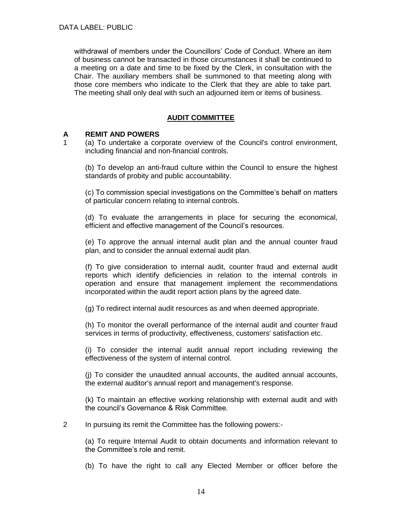withdrawal of members under the Councillors' Code of Conduct. Where an item of business cannot be transacted in those circumstances it shall be continued to a meeting on a date and time to be fixed by the Clerk, in consultation with the Chair. The auxiliary members shall be summoned to that meeting along with those core members who indicate to the Clerk that they are able to take part. The meeting shall only deal with such an adjourned item or items of business.

## **AUDIT COMMITTEE**

## **A REMIT AND POWERS**

1 (a) To undertake a corporate overview of the Council's control environment, including financial and non-financial controls.

(b) To develop an anti-fraud culture within the Council to ensure the highest standards of probity and public accountability.

(c) To commission special investigations on the Committee's behalf on matters of particular concern relating to internal controls.

(d) To evaluate the arrangements in place for securing the economical, efficient and effective management of the Council's resources.

(e) To approve the annual internal audit plan and the annual counter fraud plan, and to consider the annual external audit plan.

(f) To give consideration to internal audit, counter fraud and external audit reports which identify deficiencies in relation to the internal controls in operation and ensure that management implement the recommendations incorporated within the audit report action plans by the agreed date.

(g) To redirect internal audit resources as and when deemed appropriate.

(h) To monitor the overall performance of the internal audit and counter fraud services in terms of productivity, effectiveness, customers' satisfaction etc.

(i) To consider the internal audit annual report including reviewing the effectiveness of the system of internal control.

(j) To consider the unaudited annual accounts, the audited annual accounts, the external auditor's annual report and management's response.

(k) To maintain an effective working relationship with external audit and with the council's Governance & Risk Committee.

2 In pursuing its remit the Committee has the following powers:-

(a) To require Internal Audit to obtain documents and information relevant to the Committee's role and remit.

(b) To have the right to call any Elected Member or officer before the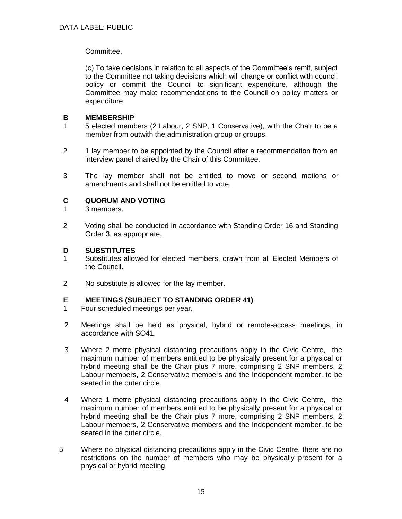Committee.

(c) To take decisions in relation to all aspects of the Committee's remit, subject to the Committee not taking decisions which will change or conflict with council policy or commit the Council to significant expenditure, although the Committee may make recommendations to the Council on policy matters or expenditure.

# **B MEMBERSHIP**

- 1 5 elected members (2 Labour, 2 SNP, 1 Conservative), with the Chair to be a member from outwith the administration group or groups.
- 2 1 lay member to be appointed by the Council after a recommendation from an interview panel chaired by the Chair of this Committee.
- 3 The lay member shall not be entitled to move or second motions or amendments and shall not be entitled to vote.

# **C QUORUM AND VOTING**

- 1 3 members.
- 2 Voting shall be conducted in accordance with Standing Order 16 and Standing Order 3, as appropriate.

# **D SUBSTITUTES**

- 1 Substitutes allowed for elected members, drawn from all Elected Members of the Council.
- 2 No substitute is allowed for the lay member.

- 1 Four scheduled meetings per year.
- 2 Meetings shall be held as physical, hybrid or remote-access meetings, in accordance with SO41.
- 3 Where 2 metre physical distancing precautions apply in the Civic Centre, the maximum number of members entitled to be physically present for a physical or hybrid meeting shall be the Chair plus 7 more, comprising 2 SNP members, 2 Labour members, 2 Conservative members and the Independent member, to be seated in the outer circle
- 4 Where 1 metre physical distancing precautions apply in the Civic Centre, the maximum number of members entitled to be physically present for a physical or hybrid meeting shall be the Chair plus 7 more, comprising 2 SNP members, 2 Labour members, 2 Conservative members and the Independent member, to be seated in the outer circle.
- 5 Where no physical distancing precautions apply in the Civic Centre, there are no restrictions on the number of members who may be physically present for a physical or hybrid meeting.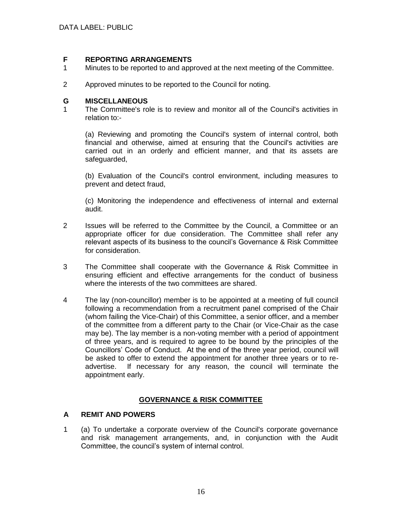## **F REPORTING ARRANGEMENTS**

- 1 Minutes to be reported to and approved at the next meeting of the Committee.
- 2 Approved minutes to be reported to the Council for noting.

#### **G MISCELLANEOUS**

1 The Committee's role is to review and monitor all of the Council's activities in relation to:-

(a) Reviewing and promoting the Council's system of internal control, both financial and otherwise, aimed at ensuring that the Council's activities are carried out in an orderly and efficient manner, and that its assets are safeguarded,

(b) Evaluation of the Council's control environment, including measures to prevent and detect fraud,

(c) Monitoring the independence and effectiveness of internal and external audit.

- 2 Issues will be referred to the Committee by the Council, a Committee or an appropriate officer for due consideration. The Committee shall refer any relevant aspects of its business to the council's Governance & Risk Committee for consideration.
- 3 The Committee shall cooperate with the Governance & Risk Committee in ensuring efficient and effective arrangements for the conduct of business where the interests of the two committees are shared.
- 4 The lay (non-councillor) member is to be appointed at a meeting of full council following a recommendation from a recruitment panel comprised of the Chair (whom failing the Vice-Chair) of this Committee, a senior officer, and a member of the committee from a different party to the Chair (or Vice-Chair as the case may be). The lay member is a non-voting member with a period of appointment of three years, and is required to agree to be bound by the principles of the Councillors' Code of Conduct. At the end of the three year period, council will be asked to offer to extend the appointment for another three years or to readvertise. If necessary for any reason, the council will terminate the appointment early.

## **GOVERNANCE & RISK COMMITTEE**

#### **A REMIT AND POWERS**

1 (a) To undertake a corporate overview of the Council's corporate governance and risk management arrangements, and, in conjunction with the Audit Committee, the council's system of internal control.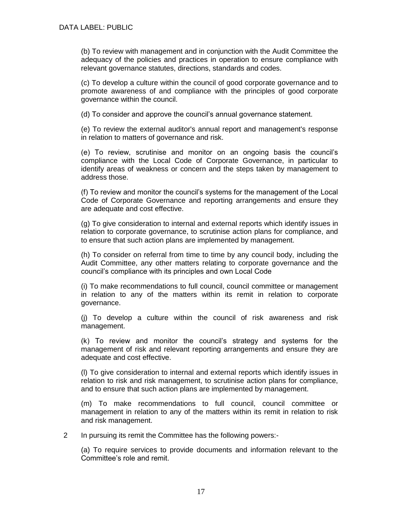(b) To review with management and in conjunction with the Audit Committee the adequacy of the policies and practices in operation to ensure compliance with relevant governance statutes, directions, standards and codes.

(c) To develop a culture within the council of good corporate governance and to promote awareness of and compliance with the principles of good corporate governance within the council.

(d) To consider and approve the council's annual governance statement.

(e) To review the external auditor's annual report and management's response in relation to matters of governance and risk.

(e) To review, scrutinise and monitor on an ongoing basis the council's compliance with the Local Code of Corporate Governance, in particular to identify areas of weakness or concern and the steps taken by management to address those.

(f) To review and monitor the council's systems for the management of the Local Code of Corporate Governance and reporting arrangements and ensure they are adequate and cost effective.

(g) To give consideration to internal and external reports which identify issues in relation to corporate governance, to scrutinise action plans for compliance, and to ensure that such action plans are implemented by management.

(h) To consider on referral from time to time by any council body, including the Audit Committee, any other matters relating to corporate governance and the council's compliance with its principles and own Local Code

(i) To make recommendations to full council, council committee or management in relation to any of the matters within its remit in relation to corporate governance.

(j) To develop a culture within the council of risk awareness and risk management.

(k) To review and monitor the council's strategy and systems for the management of risk and relevant reporting arrangements and ensure they are adequate and cost effective.

(l) To give consideration to internal and external reports which identify issues in relation to risk and risk management, to scrutinise action plans for compliance, and to ensure that such action plans are implemented by management.

(m) To make recommendations to full council, council committee or management in relation to any of the matters within its remit in relation to risk and risk management.

2 In pursuing its remit the Committee has the following powers:-

(a) To require services to provide documents and information relevant to the Committee's role and remit.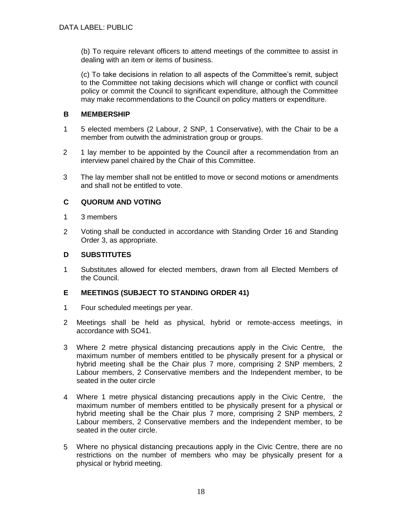(b) To require relevant officers to attend meetings of the committee to assist in dealing with an item or items of business.

(c) To take decisions in relation to all aspects of the Committee's remit, subject to the Committee not taking decisions which will change or conflict with council policy or commit the Council to significant expenditure, although the Committee may make recommendations to the Council on policy matters or expenditure.

## **B MEMBERSHIP**

- 1 5 elected members (2 Labour, 2 SNP, 1 Conservative), with the Chair to be a member from outwith the administration group or groups.
- 2 1 lay member to be appointed by the Council after a recommendation from an interview panel chaired by the Chair of this Committee.
- 3 The lay member shall not be entitled to move or second motions or amendments and shall not be entitled to vote.

# **C QUORUM AND VOTING**

- 1 3 members
- 2 Voting shall be conducted in accordance with Standing Order 16 and Standing Order 3, as appropriate.

## **D SUBSTITUTES**

1 Substitutes allowed for elected members, drawn from all Elected Members of the Council.

- 1 Four scheduled meetings per year.
- 2 Meetings shall be held as physical, hybrid or remote-access meetings, in accordance with SO41.
- 3 Where 2 metre physical distancing precautions apply in the Civic Centre, the maximum number of members entitled to be physically present for a physical or hybrid meeting shall be the Chair plus 7 more, comprising 2 SNP members, 2 Labour members, 2 Conservative members and the Independent member, to be seated in the outer circle
- 4 Where 1 metre physical distancing precautions apply in the Civic Centre, the maximum number of members entitled to be physically present for a physical or hybrid meeting shall be the Chair plus 7 more, comprising 2 SNP members, 2 Labour members, 2 Conservative members and the Independent member, to be seated in the outer circle.
- 5 Where no physical distancing precautions apply in the Civic Centre, there are no restrictions on the number of members who may be physically present for a physical or hybrid meeting.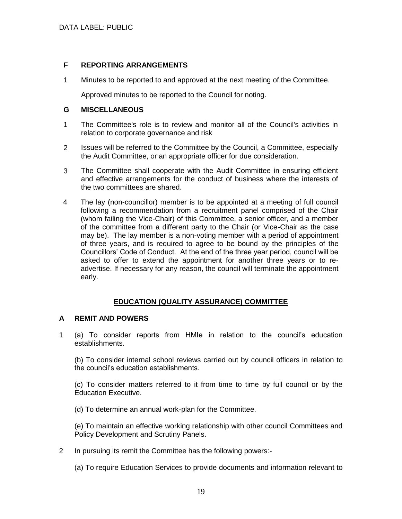#### **F REPORTING ARRANGEMENTS**

1 Minutes to be reported to and approved at the next meeting of the Committee.

Approved minutes to be reported to the Council for noting.

#### **G MISCELLANEOUS**

- 1 The Committee's role is to review and monitor all of the Council's activities in relation to corporate governance and risk
- 2 Issues will be referred to the Committee by the Council, a Committee, especially the Audit Committee, or an appropriate officer for due consideration.
- 3 The Committee shall cooperate with the Audit Committee in ensuring efficient and effective arrangements for the conduct of business where the interests of the two committees are shared.
- 4 The lay (non-councillor) member is to be appointed at a meeting of full council following a recommendation from a recruitment panel comprised of the Chair (whom failing the Vice-Chair) of this Committee, a senior officer, and a member of the committee from a different party to the Chair (or Vice-Chair as the case may be). The lay member is a non-voting member with a period of appointment of three years, and is required to agree to be bound by the principles of the Councillors' Code of Conduct. At the end of the three year period, council will be asked to offer to extend the appointment for another three years or to readvertise. If necessary for any reason, the council will terminate the appointment early.

#### **EDUCATION (QUALITY ASSURANCE) COMMITTEE**

#### **A REMIT AND POWERS**

1 (a) To consider reports from HMIe in relation to the council's education establishments.

(b) To consider internal school reviews carried out by council officers in relation to the council's education establishments.

(c) To consider matters referred to it from time to time by full council or by the Education Executive.

(d) To determine an annual work-plan for the Committee.

(e) To maintain an effective working relationship with other council Committees and Policy Development and Scrutiny Panels.

- 2 In pursuing its remit the Committee has the following powers:-
	- (a) To require Education Services to provide documents and information relevant to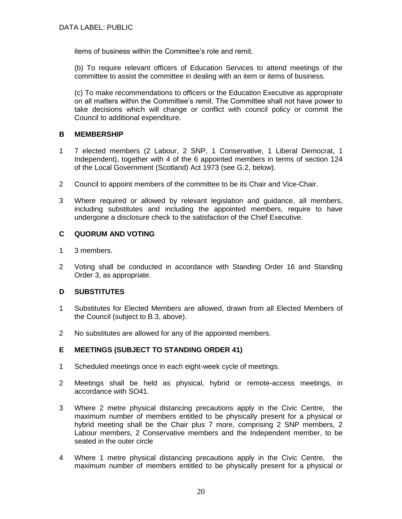items of business within the Committee's role and remit.

(b) To require relevant officers of Education Services to attend meetings of the committee to assist the committee in dealing with an item or items of business.

(c) To make recommendations to officers or the Education Executive as appropriate on all matters within the Committee's remit. The Committee shall not have power to take decisions which will change or conflict with council policy or commit the Council to additional expenditure.

# **B MEMBERSHIP**

- 1 7 elected members (2 Labour, 2 SNP, 1 Conservative, 1 Liberal Democrat, 1 Independent), together with 4 of the 6 appointed members in terms of section 124 of the Local Government (Scotland) Act 1973 (see G.2, below).
- 2 Council to appoint members of the committee to be its Chair and Vice-Chair.
- 3 Where required or allowed by relevant legislation and guidance, all members, including substitutes and including the appointed members, require to have undergone a disclosure check to the satisfaction of the Chief Executive.

# **C QUORUM AND VOTING**

- 1 3 members.
- 2 Voting shall be conducted in accordance with Standing Order 16 and Standing Order 3, as appropriate.

# **D SUBSTITUTES**

- 1 Substitutes for Elected Members are allowed, drawn from all Elected Members of the Council (subject to B.3, above).
- 2 No substitutes are allowed for any of the appointed members.

- 1 Scheduled meetings once in each eight-week cycle of meetings.
- 2 Meetings shall be held as physical, hybrid or remote-access meetings, in accordance with SO41.
- 3 Where 2 metre physical distancing precautions apply in the Civic Centre, the maximum number of members entitled to be physically present for a physical or hybrid meeting shall be the Chair plus 7 more, comprising 2 SNP members, 2 Labour members, 2 Conservative members and the Independent member, to be seated in the outer circle
- 4 Where 1 metre physical distancing precautions apply in the Civic Centre, the maximum number of members entitled to be physically present for a physical or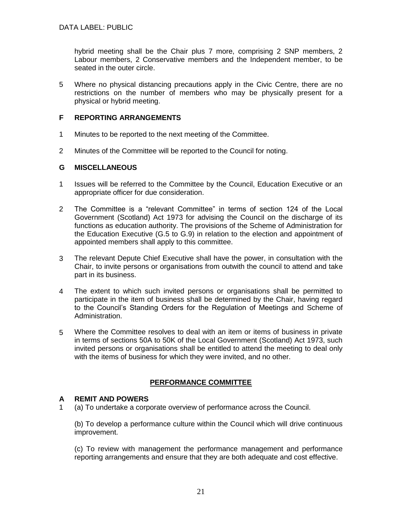hybrid meeting shall be the Chair plus 7 more, comprising 2 SNP members, 2 Labour members, 2 Conservative members and the Independent member, to be seated in the outer circle.

5 Where no physical distancing precautions apply in the Civic Centre, there are no restrictions on the number of members who may be physically present for a physical or hybrid meeting.

## **F REPORTING ARRANGEMENTS**

- 1 Minutes to be reported to the next meeting of the Committee.
- 2 Minutes of the Committee will be reported to the Council for noting.

# **G MISCELLANEOUS**

- 1 Issues will be referred to the Committee by the Council, Education Executive or an appropriate officer for due consideration.
- 2 The Committee is a "relevant Committee" in terms of section 124 of the Local Government (Scotland) Act 1973 for advising the Council on the discharge of its functions as education authority. The provisions of the Scheme of Administration for the Education Executive (G.5 to G.9) in relation to the election and appointment of appointed members shall apply to this committee.
- 3 The relevant Depute Chief Executive shall have the power, in consultation with the Chair, to invite persons or organisations from outwith the council to attend and take part in its business.
- 4 The extent to which such invited persons or organisations shall be permitted to participate in the item of business shall be determined by the Chair, having regard to the Council's Standing Orders for the Regulation of Meetings and Scheme of Administration.
- 5 Where the Committee resolves to deal with an item or items of business in private in terms of sections 50A to 50K of the Local Government (Scotland) Act 1973, such invited persons or organisations shall be entitled to attend the meeting to deal only with the items of business for which they were invited, and no other.

# **PERFORMANCE COMMITTEE**

## **A REMIT AND POWERS**

1 (a) To undertake a corporate overview of performance across the Council.

(b) To develop a performance culture within the Council which will drive continuous improvement.

(c) To review with management the performance management and performance reporting arrangements and ensure that they are both adequate and cost effective.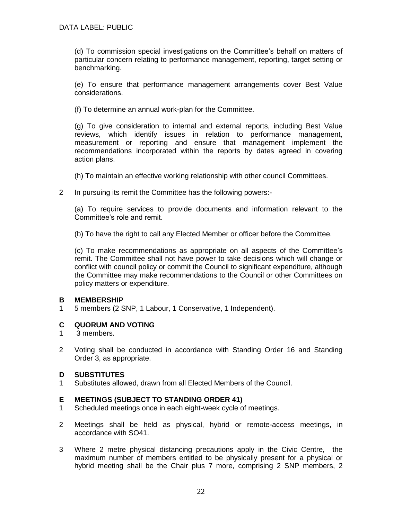(d) To commission special investigations on the Committee's behalf on matters of particular concern relating to performance management, reporting, target setting or benchmarking.

(e) To ensure that performance management arrangements cover Best Value considerations.

(f) To determine an annual work-plan for the Committee.

(g) To give consideration to internal and external reports, including Best Value reviews, which identify issues in relation to performance management, measurement or reporting and ensure that management implement the recommendations incorporated within the reports by dates agreed in covering action plans.

(h) To maintain an effective working relationship with other council Committees.

2 In pursuing its remit the Committee has the following powers:-

(a) To require services to provide documents and information relevant to the Committee's role and remit.

(b) To have the right to call any Elected Member or officer before the Committee.

(c) To make recommendations as appropriate on all aspects of the Committee's remit. The Committee shall not have power to take decisions which will change or conflict with council policy or commit the Council to significant expenditure, although the Committee may make recommendations to the Council or other Committees on policy matters or expenditure.

## **B MEMBERSHIP**

1 5 members (2 SNP, 1 Labour, 1 Conservative, 1 Independent).

## **C QUORUM AND VOTING**

- 1 3 members.
- 2 Voting shall be conducted in accordance with Standing Order 16 and Standing Order 3, as appropriate.

#### **D SUBSTITUTES**

1 Substitutes allowed, drawn from all Elected Members of the Council.

- 1 Scheduled meetings once in each eight-week cycle of meetings.
- 2 Meetings shall be held as physical, hybrid or remote-access meetings, in accordance with SO41.
- 3 Where 2 metre physical distancing precautions apply in the Civic Centre, the maximum number of members entitled to be physically present for a physical or hybrid meeting shall be the Chair plus 7 more, comprising 2 SNP members, 2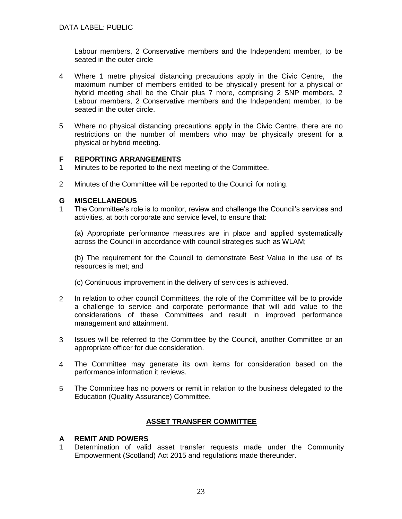Labour members, 2 Conservative members and the Independent member, to be seated in the outer circle

- 4 Where 1 metre physical distancing precautions apply in the Civic Centre, the maximum number of members entitled to be physically present for a physical or hybrid meeting shall be the Chair plus 7 more, comprising 2 SNP members, 2 Labour members, 2 Conservative members and the Independent member, to be seated in the outer circle.
- 5 Where no physical distancing precautions apply in the Civic Centre, there are no restrictions on the number of members who may be physically present for a physical or hybrid meeting.

## **F REPORTING ARRANGEMENTS**

- 1 Minutes to be reported to the next meeting of the Committee.
- 2 Minutes of the Committee will be reported to the Council for noting.

## **G MISCELLANEOUS**

1 The Committee's role is to monitor, review and challenge the Council's services and activities, at both corporate and service level, to ensure that:

(a) Appropriate performance measures are in place and applied systematically across the Council in accordance with council strategies such as WLAM;

(b) The requirement for the Council to demonstrate Best Value in the use of its resources is met; and

(c) Continuous improvement in the delivery of services is achieved.

- 2 In relation to other council Committees, the role of the Committee will be to provide a challenge to service and corporate performance that will add value to the considerations of these Committees and result in improved performance management and attainment.
- 3 Issues will be referred to the Committee by the Council, another Committee or an appropriate officer for due consideration.
- 4 The Committee may generate its own items for consideration based on the performance information it reviews.
- 5 The Committee has no powers or remit in relation to the business delegated to the Education (Quality Assurance) Committee.

## **ASSET TRANSFER COMMITTEE**

#### **A REMIT AND POWERS**

1 Determination of valid asset transfer requests made under the Community Empowerment (Scotland) Act 2015 and regulations made thereunder.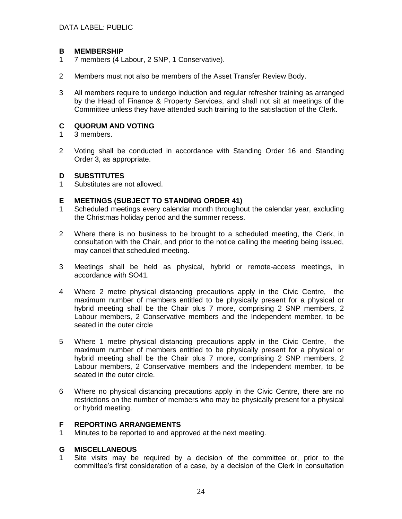## **B MEMBERSHIP**

- 1 7 members (4 Labour, 2 SNP, 1 Conservative).
- 2 Members must not also be members of the Asset Transfer Review Body.
- 3 All members require to undergo induction and regular refresher training as arranged by the Head of Finance & Property Services, and shall not sit at meetings of the Committee unless they have attended such training to the satisfaction of the Clerk.

## **C QUORUM AND VOTING**

- 1 3 members.
- 2 Voting shall be conducted in accordance with Standing Order 16 and Standing Order 3, as appropriate.

#### **D SUBSTITUTES**

1 Substitutes are not allowed.

## **E MEETINGS (SUBJECT TO STANDING ORDER 41)**

- 1 Scheduled meetings every calendar month throughout the calendar year, excluding the Christmas holiday period and the summer recess.
- 2 Where there is no business to be brought to a scheduled meeting, the Clerk, in consultation with the Chair, and prior to the notice calling the meeting being issued, may cancel that scheduled meeting.
- 3 Meetings shall be held as physical, hybrid or remote-access meetings, in accordance with SO41.
- 4 Where 2 metre physical distancing precautions apply in the Civic Centre, the maximum number of members entitled to be physically present for a physical or hybrid meeting shall be the Chair plus 7 more, comprising 2 SNP members, 2 Labour members, 2 Conservative members and the Independent member, to be seated in the outer circle
- 5 Where 1 metre physical distancing precautions apply in the Civic Centre, the maximum number of members entitled to be physically present for a physical or hybrid meeting shall be the Chair plus 7 more, comprising 2 SNP members, 2 Labour members, 2 Conservative members and the Independent member, to be seated in the outer circle.
- 6 Where no physical distancing precautions apply in the Civic Centre, there are no restrictions on the number of members who may be physically present for a physical or hybrid meeting.

#### **F REPORTING ARRANGEMENTS**

1 Minutes to be reported to and approved at the next meeting.

## **G MISCELLANEOUS**

1 Site visits may be required by a decision of the committee or, prior to the committee's first consideration of a case, by a decision of the Clerk in consultation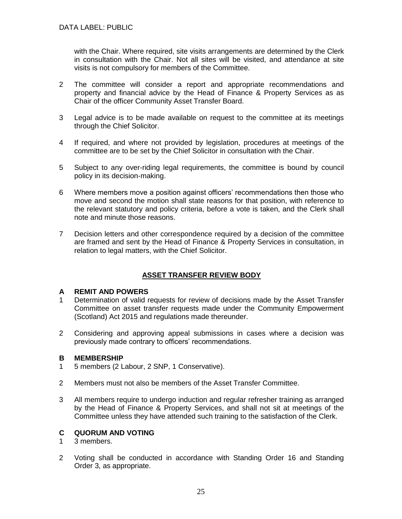with the Chair. Where required, site visits arrangements are determined by the Clerk in consultation with the Chair. Not all sites will be visited, and attendance at site visits is not compulsory for members of the Committee.

- 2 The committee will consider a report and appropriate recommendations and property and financial advice by the Head of Finance & Property Services as as Chair of the officer Community Asset Transfer Board.
- 3 Legal advice is to be made available on request to the committee at its meetings through the Chief Solicitor.
- 4 If required, and where not provided by legislation, procedures at meetings of the committee are to be set by the Chief Solicitor in consultation with the Chair.
- 5 Subject to any over-riding legal requirements, the committee is bound by council policy in its decision-making.
- 6 Where members move a position against officers' recommendations then those who move and second the motion shall state reasons for that position, with reference to the relevant statutory and policy criteria, before a vote is taken, and the Clerk shall note and minute those reasons.
- 7 Decision letters and other correspondence required by a decision of the committee are framed and sent by the Head of Finance & Property Services in consultation, in relation to legal matters, with the Chief Solicitor.

# **ASSET TRANSFER REVIEW BODY**

## **A REMIT AND POWERS**

- 1 Determination of valid requests for review of decisions made by the Asset Transfer Committee on asset transfer requests made under the Community Empowerment (Scotland) Act 2015 and regulations made thereunder.
- 2 Considering and approving appeal submissions in cases where a decision was previously made contrary to officers' recommendations.

#### **B MEMBERSHIP**

- 1 5 members (2 Labour, 2 SNP, 1 Conservative).
- 2 Members must not also be members of the Asset Transfer Committee.
- 3 All members require to undergo induction and regular refresher training as arranged by the Head of Finance & Property Services, and shall not sit at meetings of the Committee unless they have attended such training to the satisfaction of the Clerk.

## **C QUORUM AND VOTING**

- 1 3 members.
- 2 Voting shall be conducted in accordance with Standing Order 16 and Standing Order 3, as appropriate.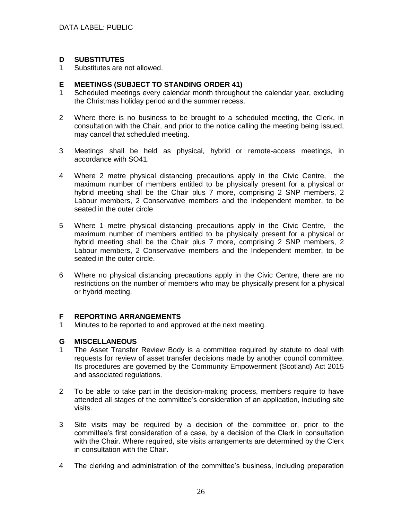#### **D SUBSTITUTES**

1 Substitutes are not allowed.

#### **E MEETINGS (SUBJECT TO STANDING ORDER 41)**

- 1 Scheduled meetings every calendar month throughout the calendar year, excluding the Christmas holiday period and the summer recess.
- 2 Where there is no business to be brought to a scheduled meeting, the Clerk, in consultation with the Chair, and prior to the notice calling the meeting being issued, may cancel that scheduled meeting.
- 3 Meetings shall be held as physical, hybrid or remote-access meetings, in accordance with SO41.
- 4 Where 2 metre physical distancing precautions apply in the Civic Centre, the maximum number of members entitled to be physically present for a physical or hybrid meeting shall be the Chair plus 7 more, comprising 2 SNP members, 2 Labour members, 2 Conservative members and the Independent member, to be seated in the outer circle
- 5 Where 1 metre physical distancing precautions apply in the Civic Centre, the maximum number of members entitled to be physically present for a physical or hybrid meeting shall be the Chair plus 7 more, comprising 2 SNP members, 2 Labour members, 2 Conservative members and the Independent member, to be seated in the outer circle.
- 6 Where no physical distancing precautions apply in the Civic Centre, there are no restrictions on the number of members who may be physically present for a physical or hybrid meeting.

## **F REPORTING ARRANGEMENTS**

1 Minutes to be reported to and approved at the next meeting.

- 1 The Asset Transfer Review Body is a committee required by statute to deal with requests for review of asset transfer decisions made by another council committee. Its procedures are governed by the Community Empowerment (Scotland) Act 2015 and associated regulations.
- 2 To be able to take part in the decision-making process, members require to have attended all stages of the committee's consideration of an application, including site visits.
- 3 Site visits may be required by a decision of the committee or, prior to the committee's first consideration of a case, by a decision of the Clerk in consultation with the Chair. Where required, site visits arrangements are determined by the Clerk in consultation with the Chair.
- 4 The clerking and administration of the committee's business, including preparation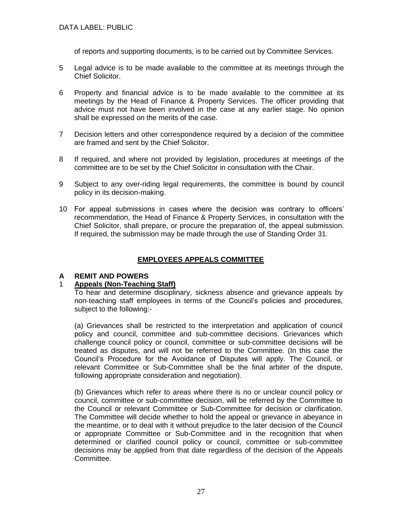of reports and supporting documents, is to be carried out by Committee Services.

- 5 Legal advice is to be made available to the committee at its meetings through the Chief Solicitor.
- 6 Property and financial advice is to be made available to the committee at its meetings by the Head of Finance & Property Services. The officer providing that advice must not have been involved in the case at any earlier stage. No opinion shall be expressed on the merits of the case.
- 7 Decision letters and other correspondence required by a decision of the committee are framed and sent by the Chief Solicitor.
- 8 If required, and where not provided by legislation, procedures at meetings of the committee are to be set by the Chief Solicitor in consultation with the Chair.
- 9 Subject to any over-riding legal requirements, the committee is bound by council policy in its decision-making.
- 10 For appeal submissions in cases where the decision was contrary to officers' recommendation, the Head of Finance & Property Services, in consultation with the Chief Solicitor, shall prepare, or procure the preparation of, the appeal submission. If required, the submission may be made through the use of Standing Order 31.

# **EMPLOYEES APPEALS COMMITTEE**

## **A REMIT AND POWERS**

## 1 **Appeals (Non-Teaching Staff)**

To hear and determine disciplinary, sickness absence and grievance appeals by non-teaching staff employees in terms of the Council's policies and procedures, subject to the following:-

(a) Grievances shall be restricted to the interpretation and application of council policy and council, committee and sub-committee decisions. Grievances which challenge council policy or council, committee or sub-committee decisions will be treated as disputes, and will not be referred to the Committee. (In this case the Council's Procedure for the Avoidance of Disputes will apply. The Council, or relevant Committee or Sub-Committee shall be the final arbiter of the dispute, following appropriate consideration and negotiation).

(b) Grievances which refer to areas where there is no or unclear council policy or council, committee or sub-committee decision, will be referred by the Committee to the Council or relevant Committee or Sub-Committee for decision or clarification. The Committee will decide whether to hold the appeal or grievance in abeyance in the meantime, or to deal with it without prejudice to the later decision of the Council or appropriate Committee or Sub-Committee and in the recognition that when determined or clarified council policy or council, committee or sub-committee decisions may be applied from that date regardless of the decision of the Appeals Committee.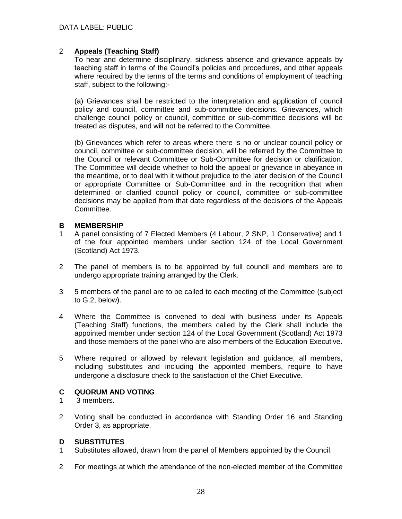## 2 **Appeals (Teaching Staff)**

To hear and determine disciplinary, sickness absence and grievance appeals by teaching staff in terms of the Council's policies and procedures, and other appeals where required by the terms of the terms and conditions of employment of teaching staff, subject to the following:-

(a) Grievances shall be restricted to the interpretation and application of council policy and council, committee and sub-committee decisions. Grievances, which challenge council policy or council, committee or sub-committee decisions will be treated as disputes, and will not be referred to the Committee.

(b) Grievances which refer to areas where there is no or unclear council policy or council, committee or sub-committee decision, will be referred by the Committee to the Council or relevant Committee or Sub-Committee for decision or clarification. The Committee will decide whether to hold the appeal or grievance in abeyance in the meantime, or to deal with it without prejudice to the later decision of the Council or appropriate Committee or Sub-Committee and in the recognition that when determined or clarified council policy or council, committee or sub-committee decisions may be applied from that date regardless of the decisions of the Appeals Committee.

#### **B MEMBERSHIP**

- 1 A panel consisting of 7 Elected Members (4 Labour, 2 SNP, 1 Conservative) and 1 of the four appointed members under section 124 of the Local Government (Scotland) Act 1973.
- 2 The panel of members is to be appointed by full council and members are to undergo appropriate training arranged by the Clerk.
- 3 5 members of the panel are to be called to each meeting of the Committee (subject to G.2, below).
- 4 Where the Committee is convened to deal with business under its Appeals (Teaching Staff) functions, the members called by the Clerk shall include the appointed member under section 124 of the Local Government (Scotland) Act 1973 and those members of the panel who are also members of the Education Executive.
- 5 Where required or allowed by relevant legislation and guidance, all members, including substitutes and including the appointed members, require to have undergone a disclosure check to the satisfaction of the Chief Executive.

## **C QUORUM AND VOTING**

- 1 3 members.
- 2 Voting shall be conducted in accordance with Standing Order 16 and Standing Order 3, as appropriate.

#### **D SUBSTITUTES**

- 1 Substitutes allowed, drawn from the panel of Members appointed by the Council.
- 2 For meetings at which the attendance of the non-elected member of the Committee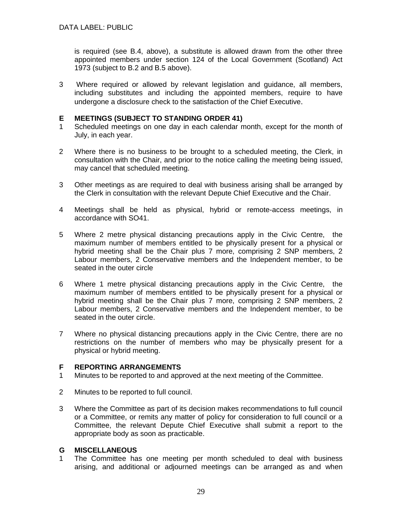is required (see B.4, above), a substitute is allowed drawn from the other three appointed members under section 124 of the Local Government (Scotland) Act 1973 (subject to B.2 and B.5 above).

3 Where required or allowed by relevant legislation and guidance, all members, including substitutes and including the appointed members, require to have undergone a disclosure check to the satisfaction of the Chief Executive.

#### **E MEETINGS (SUBJECT TO STANDING ORDER 41)**

- 1 Scheduled meetings on one day in each calendar month, except for the month of July, in each year.
- 2 Where there is no business to be brought to a scheduled meeting, the Clerk, in consultation with the Chair, and prior to the notice calling the meeting being issued, may cancel that scheduled meeting.
- 3 Other meetings as are required to deal with business arising shall be arranged by the Clerk in consultation with the relevant Depute Chief Executive and the Chair.
- 4 Meetings shall be held as physical, hybrid or remote-access meetings, in accordance with SO41.
- 5 Where 2 metre physical distancing precautions apply in the Civic Centre, the maximum number of members entitled to be physically present for a physical or hybrid meeting shall be the Chair plus 7 more, comprising 2 SNP members, 2 Labour members, 2 Conservative members and the Independent member, to be seated in the outer circle
- 6 Where 1 metre physical distancing precautions apply in the Civic Centre, the maximum number of members entitled to be physically present for a physical or hybrid meeting shall be the Chair plus 7 more, comprising 2 SNP members, 2 Labour members, 2 Conservative members and the Independent member, to be seated in the outer circle.
- 7 Where no physical distancing precautions apply in the Civic Centre, there are no restrictions on the number of members who may be physically present for a physical or hybrid meeting.

## **F REPORTING ARRANGEMENTS**

- 1 Minutes to be reported to and approved at the next meeting of the Committee.
- 2 Minutes to be reported to full council.
- 3 Where the Committee as part of its decision makes recommendations to full council or a Committee, or remits any matter of policy for consideration to full council or a Committee, the relevant Depute Chief Executive shall submit a report to the appropriate body as soon as practicable.

#### **G MISCELLANEOUS**

1 The Committee has one meeting per month scheduled to deal with business arising, and additional or adjourned meetings can be arranged as and when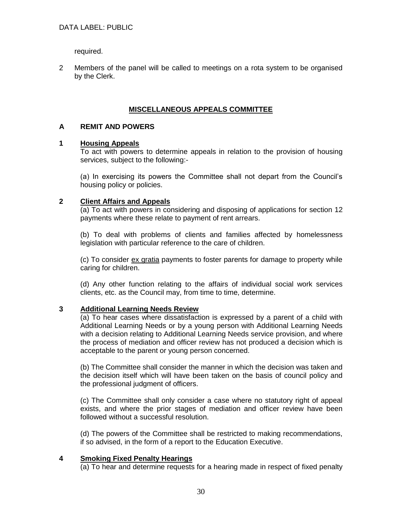required.

2 Members of the panel will be called to meetings on a rota system to be organised by the Clerk.

## **MISCELLANEOUS APPEALS COMMITTEE**

#### **A REMIT AND POWERS**

#### **1 Housing Appeals**

To act with powers to determine appeals in relation to the provision of housing services, subject to the following:-

(a) In exercising its powers the Committee shall not depart from the Council's housing policy or policies.

## **2 Client Affairs and Appeals**

(a) To act with powers in considering and disposing of applications for section 12 payments where these relate to payment of rent arrears.

(b) To deal with problems of clients and families affected by homelessness legislation with particular reference to the care of children.

(c) To consider ex gratia payments to foster parents for damage to property while caring for children.

(d) Any other function relating to the affairs of individual social work services clients, etc. as the Council may, from time to time, determine.

#### **3 Additional Learning Needs Review**

(a) To hear cases where dissatisfaction is expressed by a parent of a child with Additional Learning Needs or by a young person with Additional Learning Needs with a decision relating to Additional Learning Needs service provision, and where the process of mediation and officer review has not produced a decision which is acceptable to the parent or young person concerned.

(b) The Committee shall consider the manner in which the decision was taken and the decision itself which will have been taken on the basis of council policy and the professional judgment of officers.

(c) The Committee shall only consider a case where no statutory right of appeal exists, and where the prior stages of mediation and officer review have been followed without a successful resolution.

(d) The powers of the Committee shall be restricted to making recommendations, if so advised, in the form of a report to the Education Executive.

## **4 Smoking Fixed Penalty Hearings**

(a) To hear and determine requests for a hearing made in respect of fixed penalty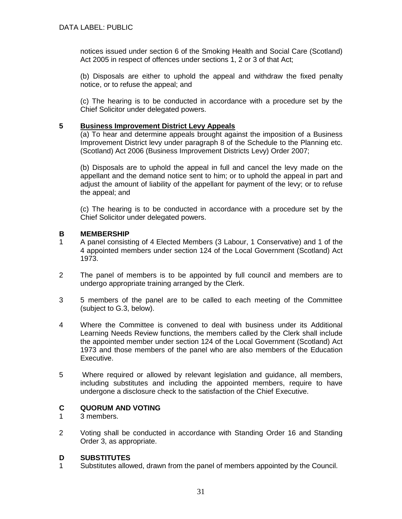notices issued under section 6 of the Smoking Health and Social Care (Scotland) Act 2005 in respect of offences under sections 1, 2 or 3 of that Act;

(b) Disposals are either to uphold the appeal and withdraw the fixed penalty notice, or to refuse the appeal; and

(c) The hearing is to be conducted in accordance with a procedure set by the Chief Solicitor under delegated powers.

## **5 Business Improvement District Levy Appeals**

(a) To hear and determine appeals brought against the imposition of a Business Improvement District levy under paragraph 8 of the Schedule to the Planning etc. (Scotland) Act 2006 (Business Improvement Districts Levy) Order 2007;

(b) Disposals are to uphold the appeal in full and cancel the levy made on the appellant and the demand notice sent to him; or to uphold the appeal in part and adjust the amount of liability of the appellant for payment of the levy; or to refuse the appeal; and

(c) The hearing is to be conducted in accordance with a procedure set by the Chief Solicitor under delegated powers.

## **B MEMBERSHIP**

- 1 A panel consisting of 4 Elected Members (3 Labour, 1 Conservative) and 1 of the 4 appointed members under section 124 of the Local Government (Scotland) Act 1973.
- 2 The panel of members is to be appointed by full council and members are to undergo appropriate training arranged by the Clerk.
- 3 5 members of the panel are to be called to each meeting of the Committee (subject to G.3, below).
- 4 Where the Committee is convened to deal with business under its Additional Learning Needs Review functions, the members called by the Clerk shall include the appointed member under section 124 of the Local Government (Scotland) Act 1973 and those members of the panel who are also members of the Education Executive.
- 5 Where required or allowed by relevant legislation and guidance, all members, including substitutes and including the appointed members, require to have undergone a disclosure check to the satisfaction of the Chief Executive.

## **C QUORUM AND VOTING**

- 1 3 members.
- 2 Voting shall be conducted in accordance with Standing Order 16 and Standing Order 3, as appropriate.

## **D SUBSTITUTES**

1 Substitutes allowed, drawn from the panel of members appointed by the Council.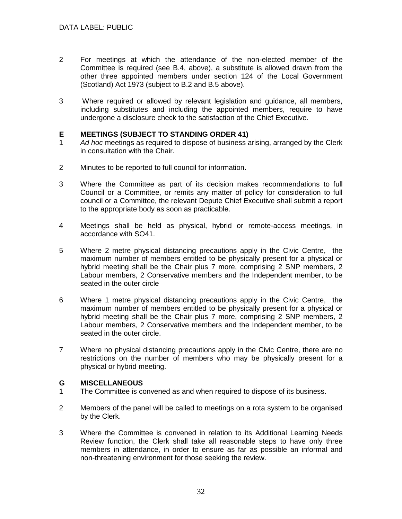- 2 For meetings at which the attendance of the non-elected member of the Committee is required (see B.4, above), a substitute is allowed drawn from the other three appointed members under section 124 of the Local Government (Scotland) Act 1973 (subject to B.2 and B.5 above).
- 3 Where required or allowed by relevant legislation and guidance, all members, including substitutes and including the appointed members, require to have undergone a disclosure check to the satisfaction of the Chief Executive.

## **E MEETINGS (SUBJECT TO STANDING ORDER 41)**

- 1 *Ad hoc* meetings as required to dispose of business arising, arranged by the Clerk in consultation with the Chair.
- 2 Minutes to be reported to full council for information.
- 3 Where the Committee as part of its decision makes recommendations to full Council or a Committee, or remits any matter of policy for consideration to full council or a Committee, the relevant Depute Chief Executive shall submit a report to the appropriate body as soon as practicable.
- 4 Meetings shall be held as physical, hybrid or remote-access meetings, in accordance with SO41.
- 5 Where 2 metre physical distancing precautions apply in the Civic Centre, the maximum number of members entitled to be physically present for a physical or hybrid meeting shall be the Chair plus 7 more, comprising 2 SNP members, 2 Labour members, 2 Conservative members and the Independent member, to be seated in the outer circle
- 6 Where 1 metre physical distancing precautions apply in the Civic Centre, the maximum number of members entitled to be physically present for a physical or hybrid meeting shall be the Chair plus 7 more, comprising 2 SNP members, 2 Labour members, 2 Conservative members and the Independent member, to be seated in the outer circle.
- 7 Where no physical distancing precautions apply in the Civic Centre, there are no restrictions on the number of members who may be physically present for a physical or hybrid meeting.

- 1 The Committee is convened as and when required to dispose of its business.
- 2 Members of the panel will be called to meetings on a rota system to be organised by the Clerk.
- 3 Where the Committee is convened in relation to its Additional Learning Needs Review function, the Clerk shall take all reasonable steps to have only three members in attendance, in order to ensure as far as possible an informal and non-threatening environment for those seeking the review.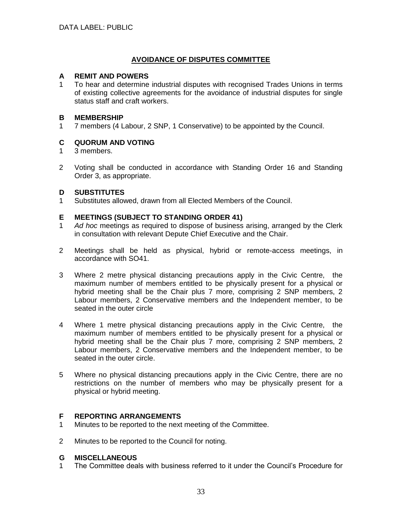# **AVOIDANCE OF DISPUTES COMMITTEE**

## **A REMIT AND POWERS**

1 To hear and determine industrial disputes with recognised Trades Unions in terms of existing collective agreements for the avoidance of industrial disputes for single status staff and craft workers.

#### **B MEMBERSHIP**

1 7 members (4 Labour, 2 SNP, 1 Conservative) to be appointed by the Council.

## **C QUORUM AND VOTING**

- 1 3 members.
- 2 Voting shall be conducted in accordance with Standing Order 16 and Standing Order 3, as appropriate.

#### **D SUBSTITUTES**

1 Substitutes allowed, drawn from all Elected Members of the Council.

#### **E MEETINGS (SUBJECT TO STANDING ORDER 41)**

- 1 *Ad hoc* meetings as required to dispose of business arising, arranged by the Clerk in consultation with relevant Depute Chief Executive and the Chair.
- 2 Meetings shall be held as physical, hybrid or remote-access meetings, in accordance with SO41.
- 3 Where 2 metre physical distancing precautions apply in the Civic Centre, the maximum number of members entitled to be physically present for a physical or hybrid meeting shall be the Chair plus 7 more, comprising 2 SNP members, 2 Labour members, 2 Conservative members and the Independent member, to be seated in the outer circle
- 4 Where 1 metre physical distancing precautions apply in the Civic Centre, the maximum number of members entitled to be physically present for a physical or hybrid meeting shall be the Chair plus 7 more, comprising 2 SNP members, 2 Labour members, 2 Conservative members and the Independent member, to be seated in the outer circle.
- 5 Where no physical distancing precautions apply in the Civic Centre, there are no restrictions on the number of members who may be physically present for a physical or hybrid meeting.

## **F REPORTING ARRANGEMENTS**

- 1 Minutes to be reported to the next meeting of the Committee.
- 2 Minutes to be reported to the Council for noting.

## **G MISCELLANEOUS**

1 The Committee deals with business referred to it under the Council's Procedure for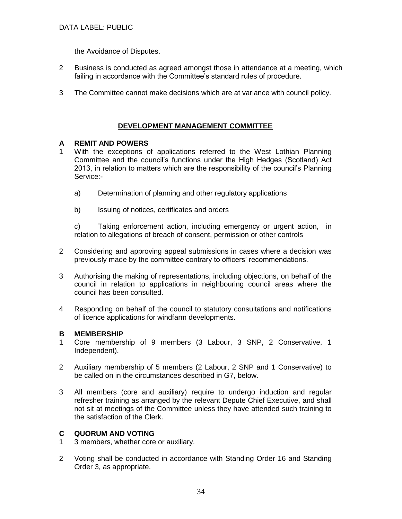the Avoidance of Disputes.

- 2 Business is conducted as agreed amongst those in attendance at a meeting, which failing in accordance with the Committee's standard rules of procedure.
- 3 The Committee cannot make decisions which are at variance with council policy.

# **DEVELOPMENT MANAGEMENT COMMITTEE**

# **A REMIT AND POWERS**

- 1 With the exceptions of applications referred to the West Lothian Planning Committee and the council's functions under the High Hedges (Scotland) Act 2013, in relation to matters which are the responsibility of the council's Planning Service:
	- a) Determination of planning and other regulatory applications
	- b) Issuing of notices, certificates and orders

c) Taking enforcement action, including emergency or urgent action, in relation to allegations of breach of consent, permission or other controls

- 2 Considering and approving appeal submissions in cases where a decision was previously made by the committee contrary to officers' recommendations.
- 3 Authorising the making of representations, including objections, on behalf of the council in relation to applications in neighbouring council areas where the council has been consulted.
- 4 Responding on behalf of the council to statutory consultations and notifications of licence applications for windfarm developments.

## **B MEMBERSHIP**

- 1 Core membership of 9 members (3 Labour, 3 SNP, 2 Conservative, 1 Independent).
- 2 Auxiliary membership of 5 members (2 Labour, 2 SNP and 1 Conservative) to be called on in the circumstances described in G7, below.
- 3 All members (core and auxiliary) require to undergo induction and regular refresher training as arranged by the relevant Depute Chief Executive, and shall not sit at meetings of the Committee unless they have attended such training to the satisfaction of the Clerk.

# **C QUORUM AND VOTING**

- 1 3 members, whether core or auxiliary.
- 2 Voting shall be conducted in accordance with Standing Order 16 and Standing Order 3, as appropriate.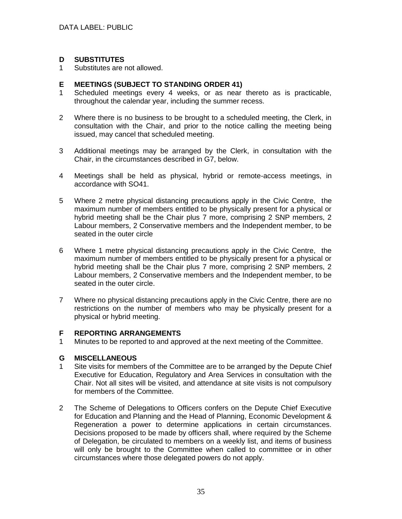## **D SUBSTITUTES**

1 Substitutes are not allowed.

## **E MEETINGS (SUBJECT TO STANDING ORDER 41)**

- 1 Scheduled meetings every 4 weeks, or as near thereto as is practicable, throughout the calendar year, including the summer recess.
- 2 Where there is no business to be brought to a scheduled meeting, the Clerk, in consultation with the Chair, and prior to the notice calling the meeting being issued, may cancel that scheduled meeting.
- 3 Additional meetings may be arranged by the Clerk, in consultation with the Chair, in the circumstances described in G7, below.
- 4 Meetings shall be held as physical, hybrid or remote-access meetings, in accordance with SO41.
- 5 Where 2 metre physical distancing precautions apply in the Civic Centre, the maximum number of members entitled to be physically present for a physical or hybrid meeting shall be the Chair plus 7 more, comprising 2 SNP members, 2 Labour members, 2 Conservative members and the Independent member, to be seated in the outer circle
- 6 Where 1 metre physical distancing precautions apply in the Civic Centre, the maximum number of members entitled to be physically present for a physical or hybrid meeting shall be the Chair plus 7 more, comprising 2 SNP members, 2 Labour members, 2 Conservative members and the Independent member, to be seated in the outer circle.
- 7 Where no physical distancing precautions apply in the Civic Centre, there are no restrictions on the number of members who may be physically present for a physical or hybrid meeting.

## **F REPORTING ARRANGEMENTS**

1 Minutes to be reported to and approved at the next meeting of the Committee.

- 1 Site visits for members of the Committee are to be arranged by the Depute Chief Executive for Education, Regulatory and Area Services in consultation with the Chair. Not all sites will be visited, and attendance at site visits is not compulsory for members of the Committee.
- 2 The Scheme of Delegations to Officers confers on the Depute Chief Executive for Education and Planning and the Head of Planning, Economic Development & Regeneration a power to determine applications in certain circumstances. Decisions proposed to be made by officers shall, where required by the Scheme of Delegation, be circulated to members on a weekly list, and items of business will only be brought to the Committee when called to committee or in other circumstances where those delegated powers do not apply.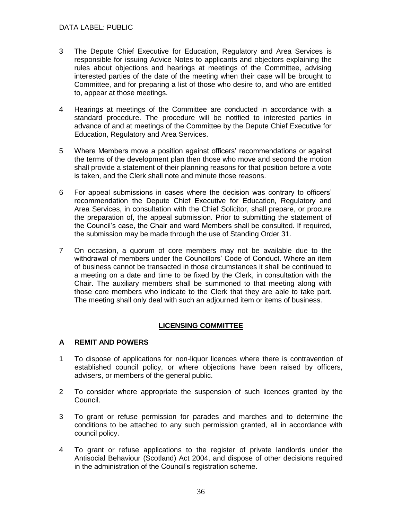- 3 The Depute Chief Executive for Education, Regulatory and Area Services is responsible for issuing Advice Notes to applicants and objectors explaining the rules about objections and hearings at meetings of the Committee, advising interested parties of the date of the meeting when their case will be brought to Committee, and for preparing a list of those who desire to, and who are entitled to, appear at those meetings.
- 4 Hearings at meetings of the Committee are conducted in accordance with a standard procedure. The procedure will be notified to interested parties in advance of and at meetings of the Committee by the Depute Chief Executive for Education, Regulatory and Area Services.
- 5 Where Members move a position against officers' recommendations or against the terms of the development plan then those who move and second the motion shall provide a statement of their planning reasons for that position before a vote is taken, and the Clerk shall note and minute those reasons.
- 6 For appeal submissions in cases where the decision was contrary to officers' recommendation the Depute Chief Executive for Education, Regulatory and Area Services, in consultation with the Chief Solicitor, shall prepare, or procure the preparation of, the appeal submission. Prior to submitting the statement of the Council's case, the Chair and ward Members shall be consulted. If required, the submission may be made through the use of Standing Order 31.
- 7 On occasion, a quorum of core members may not be available due to the withdrawal of members under the Councillors' Code of Conduct. Where an item of business cannot be transacted in those circumstances it shall be continued to a meeting on a date and time to be fixed by the Clerk, in consultation with the Chair. The auxiliary members shall be summoned to that meeting along with those core members who indicate to the Clerk that they are able to take part. The meeting shall only deal with such an adjourned item or items of business.

### **LICENSING COMMITTEE**

### **A REMIT AND POWERS**

- 1 To dispose of applications for non-liquor licences where there is contravention of established council policy, or where objections have been raised by officers, advisers, or members of the general public.
- 2 To consider where appropriate the suspension of such licences granted by the Council.
- 3 To grant or refuse permission for parades and marches and to determine the conditions to be attached to any such permission granted, all in accordance with council policy.
- 4 To grant or refuse applications to the register of private landlords under the Antisocial Behaviour (Scotland) Act 2004, and dispose of other decisions required in the administration of the Council's registration scheme.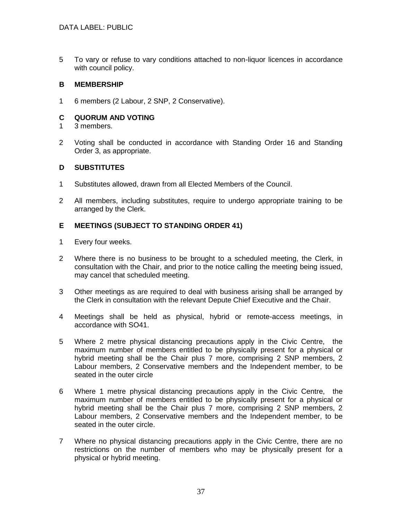5 To vary or refuse to vary conditions attached to non-liquor licences in accordance with council policy.

## **B MEMBERSHIP**

1 6 members (2 Labour, 2 SNP, 2 Conservative).

### **C QUORUM AND VOTING**

- 1 3 members.
- 2 Voting shall be conducted in accordance with Standing Order 16 and Standing Order 3, as appropriate.

### **D SUBSTITUTES**

- 1 Substitutes allowed, drawn from all Elected Members of the Council.
- 2 All members, including substitutes, require to undergo appropriate training to be arranged by the Clerk.

## **E MEETINGS (SUBJECT TO STANDING ORDER 41)**

- 1 Every four weeks.
- 2 Where there is no business to be brought to a scheduled meeting, the Clerk, in consultation with the Chair, and prior to the notice calling the meeting being issued, may cancel that scheduled meeting.
- 3 Other meetings as are required to deal with business arising shall be arranged by the Clerk in consultation with the relevant Depute Chief Executive and the Chair.
- 4 Meetings shall be held as physical, hybrid or remote-access meetings, in accordance with SO41.
- 5 Where 2 metre physical distancing precautions apply in the Civic Centre, the maximum number of members entitled to be physically present for a physical or hybrid meeting shall be the Chair plus 7 more, comprising 2 SNP members, 2 Labour members, 2 Conservative members and the Independent member, to be seated in the outer circle
- 6 Where 1 metre physical distancing precautions apply in the Civic Centre, the maximum number of members entitled to be physically present for a physical or hybrid meeting shall be the Chair plus 7 more, comprising 2 SNP members, 2 Labour members, 2 Conservative members and the Independent member, to be seated in the outer circle.
- 7 Where no physical distancing precautions apply in the Civic Centre, there are no restrictions on the number of members who may be physically present for a physical or hybrid meeting.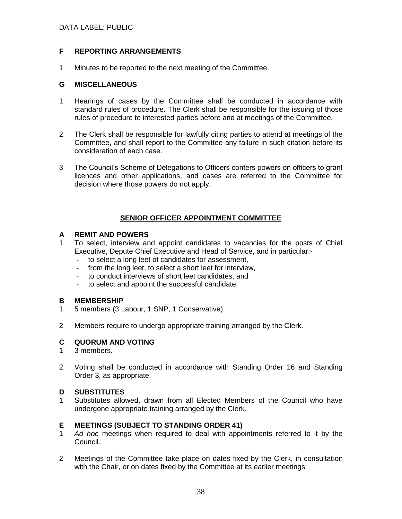### **F REPORTING ARRANGEMENTS**

1 Minutes to be reported to the next meeting of the Committee.

#### **G MISCELLANEOUS**

- 1 Hearings of cases by the Committee shall be conducted in accordance with standard rules of procedure. The Clerk shall be responsible for the issuing of those rules of procedure to interested parties before and at meetings of the Committee.
- 2 The Clerk shall be responsible for lawfully citing parties to attend at meetings of the Committee, and shall report to the Committee any failure in such citation before its consideration of each case.
- 3 The Council's Scheme of Delegations to Officers confers powers on officers to grant licences and other applications, and cases are referred to the Committee for decision where those powers do not apply.

## **SENIOR OFFICER APPOINTMENT COMMITTEE**

#### **A REMIT AND POWERS**

- 1 To select, interview and appoint candidates to vacancies for the posts of Chief Executive, Depute Chief Executive and Head of Service, and in particular:-
	- to select a long leet of candidates for assessment,
	- from the long leet, to select a short leet for interview,
	- to conduct interviews of short leet candidates, and
	- to select and appoint the successful candidate.

#### **B MEMBERSHIP**

- 1 5 members (3 Labour, 1 SNP, 1 Conservative).
- 2 Members require to undergo appropriate training arranged by the Clerk.

#### **C QUORUM AND VOTING**

- 1 3 members.
- 2 Voting shall be conducted in accordance with Standing Order 16 and Standing Order 3, as appropriate.

### **D SUBSTITUTES**

1 Substitutes allowed, drawn from all Elected Members of the Council who have undergone appropriate training arranged by the Clerk.

### **E MEETINGS (SUBJECT TO STANDING ORDER 41)**

- 1 *Ad hoc* meetings when required to deal with appointments referred to it by the Council.
- 2 Meetings of the Committee take place on dates fixed by the Clerk, in consultation with the Chair, or on dates fixed by the Committee at its earlier meetings.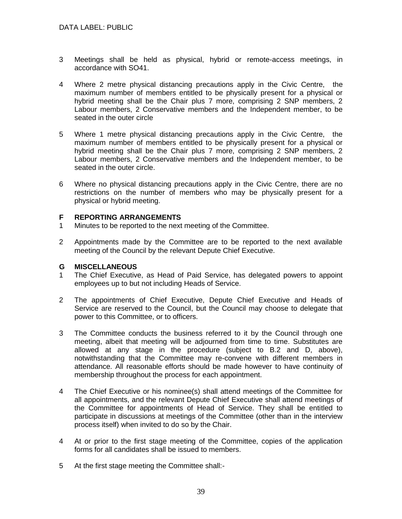- 3 Meetings shall be held as physical, hybrid or remote-access meetings, in accordance with SO41.
- 4 Where 2 metre physical distancing precautions apply in the Civic Centre, the maximum number of members entitled to be physically present for a physical or hybrid meeting shall be the Chair plus 7 more, comprising 2 SNP members, 2 Labour members, 2 Conservative members and the Independent member, to be seated in the outer circle
- 5 Where 1 metre physical distancing precautions apply in the Civic Centre, the maximum number of members entitled to be physically present for a physical or hybrid meeting shall be the Chair plus 7 more, comprising 2 SNP members, 2 Labour members, 2 Conservative members and the Independent member, to be seated in the outer circle.
- 6 Where no physical distancing precautions apply in the Civic Centre, there are no restrictions on the number of members who may be physically present for a physical or hybrid meeting.

#### **F REPORTING ARRANGEMENTS**

- 1 Minutes to be reported to the next meeting of the Committee.
- 2 Appointments made by the Committee are to be reported to the next available meeting of the Council by the relevant Depute Chief Executive.

#### **G MISCELLANEOUS**

- 1 The Chief Executive, as Head of Paid Service, has delegated powers to appoint employees up to but not including Heads of Service.
- 2 The appointments of Chief Executive, Depute Chief Executive and Heads of Service are reserved to the Council, but the Council may choose to delegate that power to this Committee, or to officers.
- 3 The Committee conducts the business referred to it by the Council through one meeting, albeit that meeting will be adjourned from time to time. Substitutes are allowed at any stage in the procedure (subject to B.2 and D, above), notwithstanding that the Committee may re-convene with different members in attendance. All reasonable efforts should be made however to have continuity of membership throughout the process for each appointment.
- 4 The Chief Executive or his nominee(s) shall attend meetings of the Committee for all appointments, and the relevant Depute Chief Executive shall attend meetings of the Committee for appointments of Head of Service. They shall be entitled to participate in discussions at meetings of the Committee (other than in the interview process itself) when invited to do so by the Chair.
- 4 At or prior to the first stage meeting of the Committee, copies of the application forms for all candidates shall be issued to members.
- 5 At the first stage meeting the Committee shall:-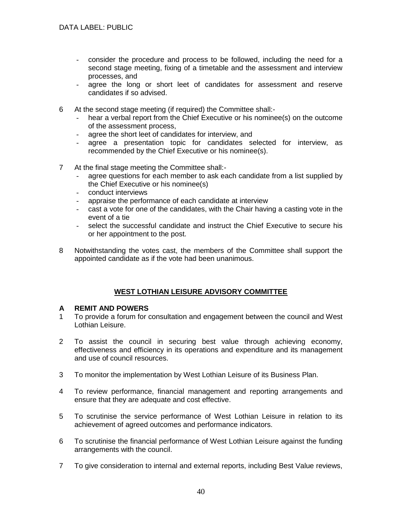- consider the procedure and process to be followed, including the need for a second stage meeting, fixing of a timetable and the assessment and interview processes, and
- agree the long or short leet of candidates for assessment and reserve candidates if so advised.
- 6 At the second stage meeting (if required) the Committee shall:
	- hear a verbal report from the Chief Executive or his nominee(s) on the outcome of the assessment process,
	- agree the short leet of candidates for interview, and
	- agree a presentation topic for candidates selected for interview, as recommended by the Chief Executive or his nominee(s).
- 7 At the final stage meeting the Committee shall:-
	- agree questions for each member to ask each candidate from a list supplied by the Chief Executive or his nominee(s)
	- conduct interviews
	- appraise the performance of each candidate at interview
	- cast a vote for one of the candidates, with the Chair having a casting vote in the event of a tie
	- select the successful candidate and instruct the Chief Executive to secure his or her appointment to the post.
- 8 Notwithstanding the votes cast, the members of the Committee shall support the appointed candidate as if the vote had been unanimous.

### **WEST LOTHIAN LEISURE ADVISORY COMMITTEE**

#### **A REMIT AND POWERS**

- 1 To provide a forum for consultation and engagement between the council and West Lothian Leisure.
- 2 To assist the council in securing best value through achieving economy, effectiveness and efficiency in its operations and expenditure and its management and use of council resources.
- 3 To monitor the implementation by West Lothian Leisure of its Business Plan.
- 4 To review performance, financial management and reporting arrangements and ensure that they are adequate and cost effective.
- 5 To scrutinise the service performance of West Lothian Leisure in relation to its achievement of agreed outcomes and performance indicators.
- 6 To scrutinise the financial performance of West Lothian Leisure against the funding arrangements with the council.
- 7 To give consideration to internal and external reports, including Best Value reviews,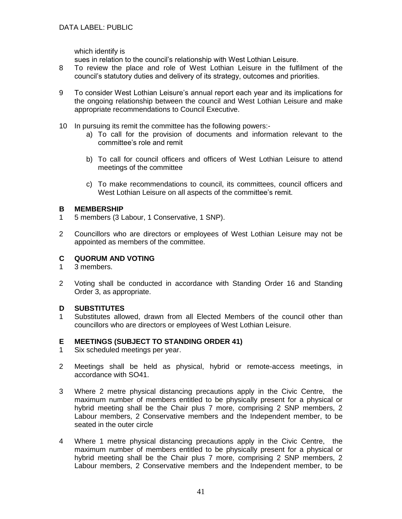which identify is

sues in relation to the council's relationship with West Lothian Leisure.

- 8 To review the place and role of West Lothian Leisure in the fulfilment of the council's statutory duties and delivery of its strategy, outcomes and priorities.
- 9 To consider West Lothian Leisure's annual report each year and its implications for the ongoing relationship between the council and West Lothian Leisure and make appropriate recommendations to Council Executive.
- 10 In pursuing its remit the committee has the following powers:
	- a) To call for the provision of documents and information relevant to the committee's role and remit
	- b) To call for council officers and officers of West Lothian Leisure to attend meetings of the committee
	- c) To make recommendations to council, its committees, council officers and West Lothian Leisure on all aspects of the committee's remit.

### **B MEMBERSHIP**

- 1 5 members (3 Labour, 1 Conservative, 1 SNP).
- 2 Councillors who are directors or employees of West Lothian Leisure may not be appointed as members of the committee.

### **C QUORUM AND VOTING**

- 1 3 members.
- 2 Voting shall be conducted in accordance with Standing Order 16 and Standing Order 3, as appropriate.

### **D SUBSTITUTES**

1 Substitutes allowed, drawn from all Elected Members of the council other than councillors who are directors or employees of West Lothian Leisure.

### **E MEETINGS (SUBJECT TO STANDING ORDER 41)**

- 1 Six scheduled meetings per year.
- 2 Meetings shall be held as physical, hybrid or remote-access meetings, in accordance with SO41.
- 3 Where 2 metre physical distancing precautions apply in the Civic Centre, the maximum number of members entitled to be physically present for a physical or hybrid meeting shall be the Chair plus 7 more, comprising 2 SNP members, 2 Labour members, 2 Conservative members and the Independent member, to be seated in the outer circle
- 4 Where 1 metre physical distancing precautions apply in the Civic Centre, the maximum number of members entitled to be physically present for a physical or hybrid meeting shall be the Chair plus 7 more, comprising 2 SNP members, 2 Labour members, 2 Conservative members and the Independent member, to be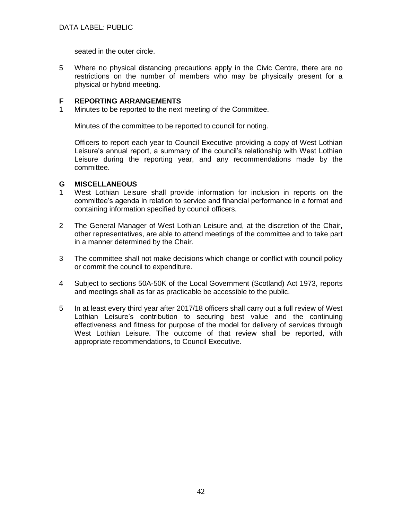seated in the outer circle.

5 Where no physical distancing precautions apply in the Civic Centre, there are no restrictions on the number of members who may be physically present for a physical or hybrid meeting.

### **F REPORTING ARRANGEMENTS**

1 Minutes to be reported to the next meeting of the Committee.

Minutes of the committee to be reported to council for noting.

Officers to report each year to Council Executive providing a copy of West Lothian Leisure's annual report, a summary of the council's relationship with West Lothian Leisure during the reporting year, and any recommendations made by the committee.

#### **G MISCELLANEOUS**

- 1 West Lothian Leisure shall provide information for inclusion in reports on the committee's agenda in relation to service and financial performance in a format and containing information specified by council officers.
- 2 The General Manager of West Lothian Leisure and, at the discretion of the Chair, other representatives, are able to attend meetings of the committee and to take part in a manner determined by the Chair.
- 3 The committee shall not make decisions which change or conflict with council policy or commit the council to expenditure.
- 4 Subject to sections 50A-50K of the Local Government (Scotland) Act 1973, reports and meetings shall as far as practicable be accessible to the public.
- 5 In at least every third year after 2017/18 officers shall carry out a full review of West Lothian Leisure's contribution to securing best value and the continuing effectiveness and fitness for purpose of the model for delivery of services through West Lothian Leisure. The outcome of that review shall be reported, with appropriate recommendations, to Council Executive.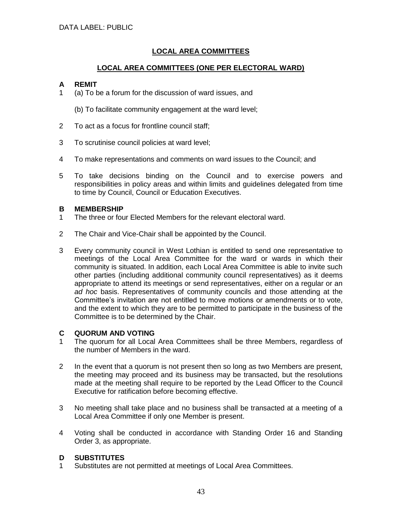# **LOCAL AREA COMMITTEES**

## **LOCAL AREA COMMITTEES (ONE PER ELECTORAL WARD)**

## **A REMIT**

- 1 (a) To be a forum for the discussion of ward issues, and
	- (b) To facilitate community engagement at the ward level;
- 2 To act as a focus for frontline council staff;
- 3 To scrutinise council policies at ward level;
- 4 To make representations and comments on ward issues to the Council; and
- 5 To take decisions binding on the Council and to exercise powers and responsibilities in policy areas and within limits and guidelines delegated from time to time by Council, Council or Education Executives.

#### **B MEMBERSHIP**

- 1 The three or four Elected Members for the relevant electoral ward.
- 2 The Chair and Vice-Chair shall be appointed by the Council.
- 3 Every community council in West Lothian is entitled to send one representative to meetings of the Local Area Committee for the ward or wards in which their community is situated. In addition, each Local Area Committee is able to invite such other parties (including additional community council representatives) as it deems appropriate to attend its meetings or send representatives, either on a regular or an *ad hoc* basis. Representatives of community councils and those attending at the Committee's invitation are not entitled to move motions or amendments or to vote, and the extent to which they are to be permitted to participate in the business of the Committee is to be determined by the Chair.

### **C QUORUM AND VOTING**

- 1 The quorum for all Local Area Committees shall be three Members, regardless of the number of Members in the ward.
- 2 In the event that a quorum is not present then so long as two Members are present, the meeting may proceed and its business may be transacted, but the resolutions made at the meeting shall require to be reported by the Lead Officer to the Council Executive for ratification before becoming effective.
- 3 No meeting shall take place and no business shall be transacted at a meeting of a Local Area Committee if only one Member is present.
- 4 Voting shall be conducted in accordance with Standing Order 16 and Standing Order 3, as appropriate.

### **D SUBSTITUTES**

1 Substitutes are not permitted at meetings of Local Area Committees.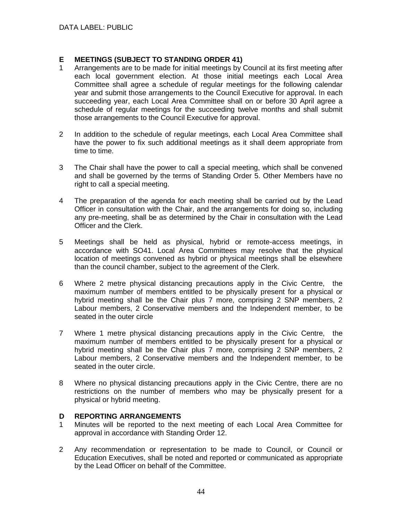### **E MEETINGS (SUBJECT TO STANDING ORDER 41)**

- 1 Arrangements are to be made for initial meetings by Council at its first meeting after each local government election. At those initial meetings each Local Area Committee shall agree a schedule of regular meetings for the following calendar year and submit those arrangements to the Council Executive for approval. In each succeeding year, each Local Area Committee shall on or before 30 April agree a schedule of regular meetings for the succeeding twelve months and shall submit those arrangements to the Council Executive for approval.
- 2 In addition to the schedule of regular meetings, each Local Area Committee shall have the power to fix such additional meetings as it shall deem appropriate from time to time.
- 3 The Chair shall have the power to call a special meeting, which shall be convened and shall be governed by the terms of Standing Order 5. Other Members have no right to call a special meeting.
- 4 The preparation of the agenda for each meeting shall be carried out by the Lead Officer in consultation with the Chair, and the arrangements for doing so, including any pre-meeting, shall be as determined by the Chair in consultation with the Lead Officer and the Clerk.
- 5 Meetings shall be held as physical, hybrid or remote-access meetings, in accordance with SO41. Local Area Committees may resolve that the physical location of meetings convened as hybrid or physical meetings shall be elsewhere than the council chamber, subject to the agreement of the Clerk.
- 6 Where 2 metre physical distancing precautions apply in the Civic Centre, the maximum number of members entitled to be physically present for a physical or hybrid meeting shall be the Chair plus 7 more, comprising 2 SNP members, 2 Labour members, 2 Conservative members and the Independent member, to be seated in the outer circle
- 7 Where 1 metre physical distancing precautions apply in the Civic Centre, the maximum number of members entitled to be physically present for a physical or hybrid meeting shall be the Chair plus 7 more, comprising 2 SNP members, 2 Labour members, 2 Conservative members and the Independent member, to be seated in the outer circle.
- 8 Where no physical distancing precautions apply in the Civic Centre, there are no restrictions on the number of members who may be physically present for a physical or hybrid meeting.

#### **D REPORTING ARRANGEMENTS**

- 1 Minutes will be reported to the next meeting of each Local Area Committee for approval in accordance with Standing Order 12.
- 2 Any recommendation or representation to be made to Council, or Council or Education Executives, shall be noted and reported or communicated as appropriate by the Lead Officer on behalf of the Committee.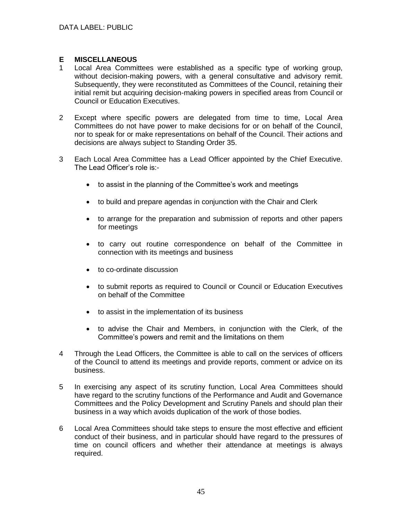#### **E MISCELLANEOUS**

- 1 Local Area Committees were established as a specific type of working group, without decision-making powers, with a general consultative and advisory remit. Subsequently, they were reconstituted as Committees of the Council, retaining their initial remit but acquiring decision-making powers in specified areas from Council or Council or Education Executives.
- 2 Except where specific powers are delegated from time to time, Local Area Committees do not have power to make decisions for or on behalf of the Council, nor to speak for or make representations on behalf of the Council. Their actions and decisions are always subject to Standing Order 35.
- 3 Each Local Area Committee has a Lead Officer appointed by the Chief Executive. The Lead Officer's role is:-
	- to assist in the planning of the Committee's work and meetings
	- to build and prepare agendas in conjunction with the Chair and Clerk
	- to arrange for the preparation and submission of reports and other papers for meetings
	- to carry out routine correspondence on behalf of the Committee in connection with its meetings and business
	- to co-ordinate discussion
	- to submit reports as required to Council or Council or Education Executives on behalf of the Committee
	- to assist in the implementation of its business
	- to advise the Chair and Members, in conjunction with the Clerk, of the Committee's powers and remit and the limitations on them
- 4 Through the Lead Officers, the Committee is able to call on the services of officers of the Council to attend its meetings and provide reports, comment or advice on its business.
- 5 In exercising any aspect of its scrutiny function, Local Area Committees should have regard to the scrutiny functions of the Performance and Audit and Governance Committees and the Policy Development and Scrutiny Panels and should plan their business in a way which avoids duplication of the work of those bodies.
- 6 Local Area Committees should take steps to ensure the most effective and efficient conduct of their business, and in particular should have regard to the pressures of time on council officers and whether their attendance at meetings is always required.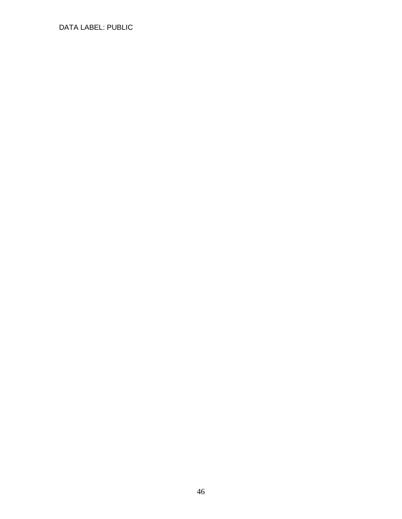# DATA LABEL: PUBLIC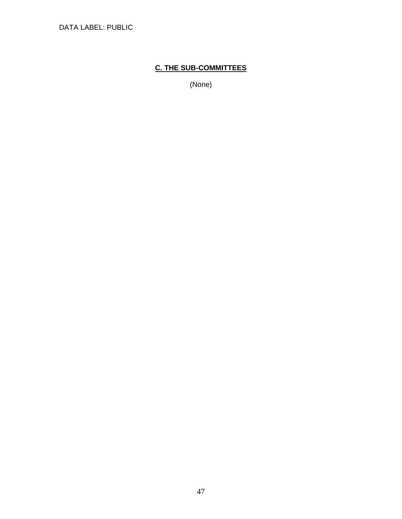DATA LABEL: PUBLIC

# **C. THE SUB-COMMITTEES**

(None)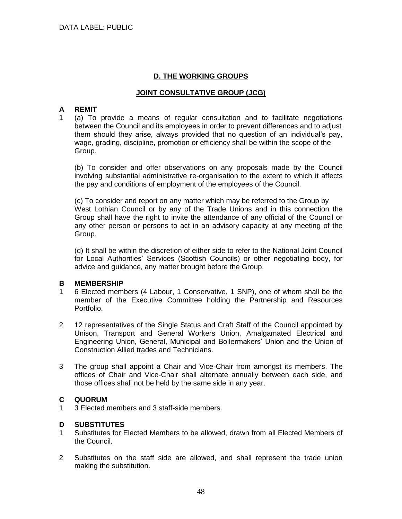## **D. THE WORKING GROUPS**

#### **JOINT CONSULTATIVE GROUP (JCG)**

#### **A REMIT**

1 (a) To provide a means of regular consultation and to facilitate negotiations between the Council and its employees in order to prevent differences and to adjust them should they arise, always provided that no question of an individual's pay, wage, grading, discipline, promotion or efficiency shall be within the scope of the Group.

(b) To consider and offer observations on any proposals made by the Council involving substantial administrative re-organisation to the extent to which it affects the pay and conditions of employment of the employees of the Council.

(c) To consider and report on any matter which may be referred to the Group by West Lothian Council or by any of the Trade Unions and in this connection the Group shall have the right to invite the attendance of any official of the Council or any other person or persons to act in an advisory capacity at any meeting of the Group.

(d) It shall be within the discretion of either side to refer to the National Joint Council for Local Authorities' Services (Scottish Councils) or other negotiating body, for advice and guidance, any matter brought before the Group.

#### **B MEMBERSHIP**

- 1 6 Elected members (4 Labour, 1 Conservative, 1 SNP), one of whom shall be the member of the Executive Committee holding the Partnership and Resources Portfolio.
- 2 12 representatives of the Single Status and Craft Staff of the Council appointed by Unison, Transport and General Workers Union, Amalgamated Electrical and Engineering Union, General, Municipal and Boilermakers' Union and the Union of Construction Allied trades and Technicians.
- 3 The group shall appoint a Chair and Vice-Chair from amongst its members. The offices of Chair and Vice-Chair shall alternate annually between each side, and those offices shall not be held by the same side in any year.

### **C QUORUM**

1 3 Elected members and 3 staff-side members.

#### **D SUBSTITUTES**

- 1 Substitutes for Elected Members to be allowed, drawn from all Elected Members of the Council.
- 2 Substitutes on the staff side are allowed, and shall represent the trade union making the substitution.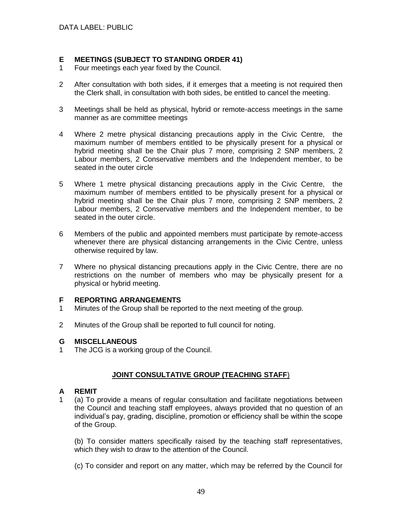### **E MEETINGS (SUBJECT TO STANDING ORDER 41)**

- 1 Four meetings each year fixed by the Council.
- 2 After consultation with both sides, if it emerges that a meeting is not required then the Clerk shall, in consultation with both sides, be entitled to cancel the meeting.
- 3 Meetings shall be held as physical, hybrid or remote-access meetings in the same manner as are committee meetings
- 4 Where 2 metre physical distancing precautions apply in the Civic Centre, the maximum number of members entitled to be physically present for a physical or hybrid meeting shall be the Chair plus 7 more, comprising 2 SNP members, 2 Labour members, 2 Conservative members and the Independent member, to be seated in the outer circle
- 5 Where 1 metre physical distancing precautions apply in the Civic Centre, the maximum number of members entitled to be physically present for a physical or hybrid meeting shall be the Chair plus 7 more, comprising 2 SNP members, 2 Labour members, 2 Conservative members and the Independent member, to be seated in the outer circle.
- 6 Members of the public and appointed members must participate by remote-access whenever there are physical distancing arrangements in the Civic Centre, unless otherwise required by law.
- 7 Where no physical distancing precautions apply in the Civic Centre, there are no restrictions on the number of members who may be physically present for a physical or hybrid meeting.

### **F REPORTING ARRANGEMENTS**

- 1 Minutes of the Group shall be reported to the next meeting of the group.
- 2 Minutes of the Group shall be reported to full council for noting.

#### **G MISCELLANEOUS**

1 The JCG is a working group of the Council.

### **JOINT CONSULTATIVE GROUP (TEACHING STAFF**)

#### **A REMIT**

1 (a) To provide a means of regular consultation and facilitate negotiations between the Council and teaching staff employees, always provided that no question of an individual's pay, grading, discipline, promotion or efficiency shall be within the scope of the Group.

(b) To consider matters specifically raised by the teaching staff representatives, which they wish to draw to the attention of the Council.

(c) To consider and report on any matter, which may be referred by the Council for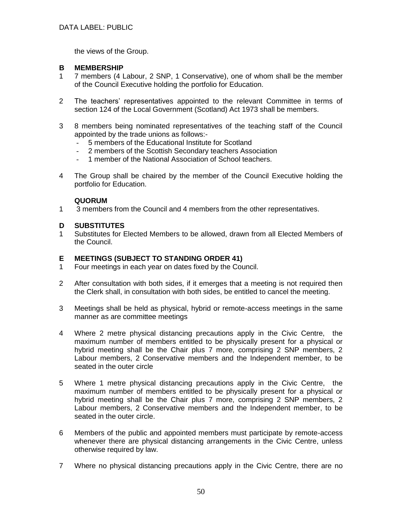the views of the Group.

### **B MEMBERSHIP**

- 1 7 members (4 Labour, 2 SNP, 1 Conservative), one of whom shall be the member of the Council Executive holding the portfolio for Education.
- 2 The teachers' representatives appointed to the relevant Committee in terms of section 124 of the Local Government (Scotland) Act 1973 shall be members.
- 3 8 members being nominated representatives of the teaching staff of the Council appointed by the trade unions as follows:-
	- 5 members of the Educational Institute for Scotland
	- 2 members of the Scottish Secondary teachers Association
	- 1 member of the National Association of School teachers.
- 4 The Group shall be chaired by the member of the Council Executive holding the portfolio for Education.

#### **QUORUM**

1 3 members from the Council and 4 members from the other representatives.

#### **D SUBSTITUTES**

1 Substitutes for Elected Members to be allowed, drawn from all Elected Members of the Council.

#### **E MEETINGS (SUBJECT TO STANDING ORDER 41)**

- 1 Four meetings in each year on dates fixed by the Council.
- 2 After consultation with both sides, if it emerges that a meeting is not required then the Clerk shall, in consultation with both sides, be entitled to cancel the meeting.
- 3 Meetings shall be held as physical, hybrid or remote-access meetings in the same manner as are committee meetings
- 4 Where 2 metre physical distancing precautions apply in the Civic Centre, the maximum number of members entitled to be physically present for a physical or hybrid meeting shall be the Chair plus 7 more, comprising 2 SNP members, 2 Labour members, 2 Conservative members and the Independent member, to be seated in the outer circle
- 5 Where 1 metre physical distancing precautions apply in the Civic Centre, the maximum number of members entitled to be physically present for a physical or hybrid meeting shall be the Chair plus 7 more, comprising 2 SNP members, 2 Labour members, 2 Conservative members and the Independent member, to be seated in the outer circle.
- 6 Members of the public and appointed members must participate by remote-access whenever there are physical distancing arrangements in the Civic Centre, unless otherwise required by law.
- 7 Where no physical distancing precautions apply in the Civic Centre, there are no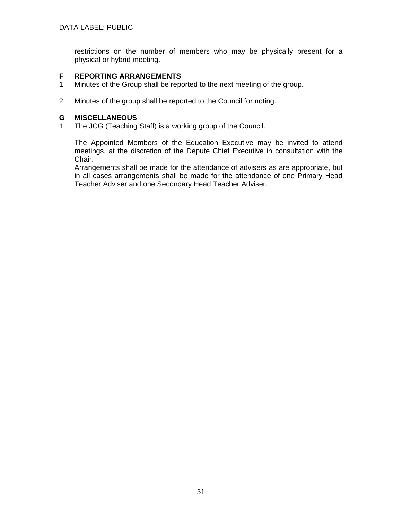restrictions on the number of members who may be physically present for a physical or hybrid meeting.

## **F REPORTING ARRANGEMENTS**

- 1 Minutes of the Group shall be reported to the next meeting of the group.
- 2 Minutes of the group shall be reported to the Council for noting.

#### **G MISCELLANEOUS**

1 The JCG (Teaching Staff) is a working group of the Council.

The Appointed Members of the Education Executive may be invited to attend meetings, at the discretion of the Depute Chief Executive in consultation with the Chair.

Arrangements shall be made for the attendance of advisers as are appropriate, but in all cases arrangements shall be made for the attendance of one Primary Head Teacher Adviser and one Secondary Head Teacher Adviser.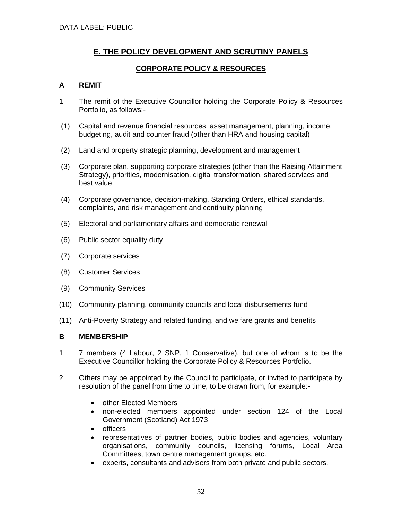# **E. THE POLICY DEVELOPMENT AND SCRUTINY PANELS**

# **CORPORATE POLICY & RESOURCES**

## **A REMIT**

- 1 The remit of the Executive Councillor holding the Corporate Policy & Resources Portfolio, as follows:-
- (1) Capital and revenue financial resources, asset management, planning, income, budgeting, audit and counter fraud (other than HRA and housing capital)
- (2) Land and property strategic planning, development and management
- (3) Corporate plan, supporting corporate strategies (other than the Raising Attainment Strategy), priorities, modernisation, digital transformation, shared services and best value
- (4) Corporate governance, decision-making, Standing Orders, ethical standards, complaints, and risk management and continuity planning
- (5) Electoral and parliamentary affairs and democratic renewal
- (6) Public sector equality duty
- (7) Corporate services
- (8) Customer Services
- (9) Community Services
- (10) Community planning, community councils and local disbursements fund
- (11) Anti-Poverty Strategy and related funding, and welfare grants and benefits

### **B MEMBERSHIP**

- 1 7 members (4 Labour, 2 SNP, 1 Conservative), but one of whom is to be the Executive Councillor holding the Corporate Policy & Resources Portfolio.
- 2 Others may be appointed by the Council to participate, or invited to participate by resolution of the panel from time to time, to be drawn from, for example:-
	- other Elected Members
	- non-elected members appointed under section 124 of the Local Government (Scotland) Act 1973
	- officers
	- representatives of partner bodies, public bodies and agencies, voluntary organisations, community councils, licensing forums, Local Area Committees, town centre management groups, etc.
	- experts, consultants and advisers from both private and public sectors.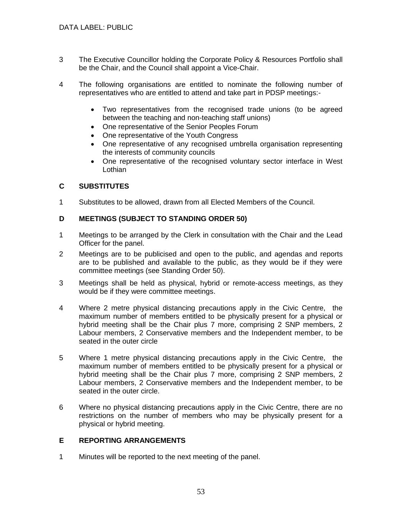- 3 The Executive Councillor holding the Corporate Policy & Resources Portfolio shall be the Chair, and the Council shall appoint a Vice-Chair.
- 4 The following organisations are entitled to nominate the following number of representatives who are entitled to attend and take part in PDSP meetings:-
	- Two representatives from the recognised trade unions (to be agreed between the teaching and non-teaching staff unions)
	- One representative of the Senior Peoples Forum
	- One representative of the Youth Congress
	- One representative of any recognised umbrella organisation representing the interests of community councils
	- One representative of the recognised voluntary sector interface in West Lothian

# **C SUBSTITUTES**

1 Substitutes to be allowed, drawn from all Elected Members of the Council.

# **D MEETINGS (SUBJECT TO STANDING ORDER 50)**

- 1 Meetings to be arranged by the Clerk in consultation with the Chair and the Lead Officer for the panel.
- 2 Meetings are to be publicised and open to the public, and agendas and reports are to be published and available to the public, as they would be if they were committee meetings (see Standing Order 50).
- 3 Meetings shall be held as physical, hybrid or remote-access meetings, as they would be if they were committee meetings.
- 4 Where 2 metre physical distancing precautions apply in the Civic Centre, the maximum number of members entitled to be physically present for a physical or hybrid meeting shall be the Chair plus 7 more, comprising 2 SNP members, 2 Labour members, 2 Conservative members and the Independent member, to be seated in the outer circle
- 5 Where 1 metre physical distancing precautions apply in the Civic Centre, the maximum number of members entitled to be physically present for a physical or hybrid meeting shall be the Chair plus 7 more, comprising 2 SNP members, 2 Labour members, 2 Conservative members and the Independent member, to be seated in the outer circle.
- 6 Where no physical distancing precautions apply in the Civic Centre, there are no restrictions on the number of members who may be physically present for a physical or hybrid meeting.

# **E REPORTING ARRANGEMENTS**

1 Minutes will be reported to the next meeting of the panel.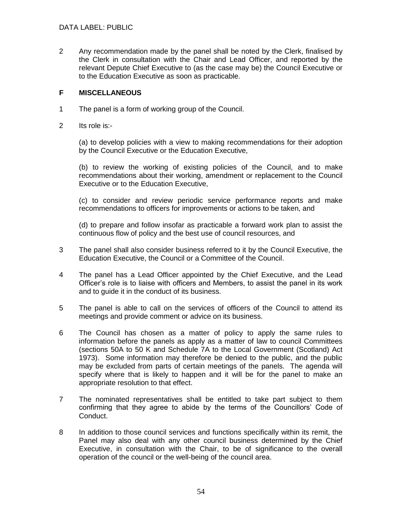2 Any recommendation made by the panel shall be noted by the Clerk, finalised by the Clerk in consultation with the Chair and Lead Officer, and reported by the relevant Depute Chief Executive to (as the case may be) the Council Executive or to the Education Executive as soon as practicable.

### **F MISCELLANEOUS**

- 1 The panel is a form of working group of the Council.
- 2 Its role is:-

(a) to develop policies with a view to making recommendations for their adoption by the Council Executive or the Education Executive,

(b) to review the working of existing policies of the Council, and to make recommendations about their working, amendment or replacement to the Council Executive or to the Education Executive,

(c) to consider and review periodic service performance reports and make recommendations to officers for improvements or actions to be taken, and

(d) to prepare and follow insofar as practicable a forward work plan to assist the continuous flow of policy and the best use of council resources, and

- 3 The panel shall also consider business referred to it by the Council Executive, the Education Executive, the Council or a Committee of the Council.
- 4 The panel has a Lead Officer appointed by the Chief Executive, and the Lead Officer's role is to liaise with officers and Members, to assist the panel in its work and to guide it in the conduct of its business.
- 5 The panel is able to call on the services of officers of the Council to attend its meetings and provide comment or advice on its business.
- 6 The Council has chosen as a matter of policy to apply the same rules to information before the panels as apply as a matter of law to council Committees (sections 50A to 50 K and Schedule 7A to the Local Government (Scotland) Act 1973). Some information may therefore be denied to the public, and the public may be excluded from parts of certain meetings of the panels. The agenda will specify where that is likely to happen and it will be for the panel to make an appropriate resolution to that effect.
- 7 The nominated representatives shall be entitled to take part subject to them confirming that they agree to abide by the terms of the Councillors' Code of Conduct.
- 8 In addition to those council services and functions specifically within its remit, the Panel may also deal with any other council business determined by the Chief Executive, in consultation with the Chair, to be of significance to the overall operation of the council or the well-being of the council area.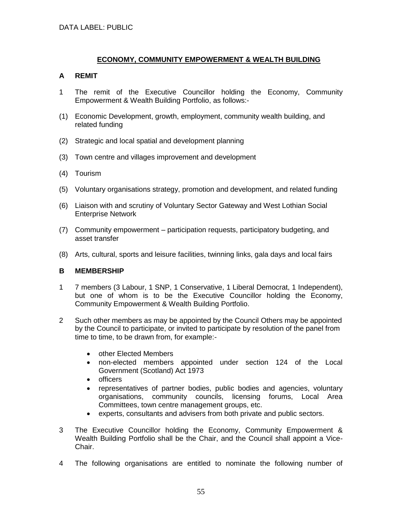### **ECONOMY, COMMUNITY EMPOWERMENT & WEALTH BUILDING**

#### **A REMIT**

- 1 The remit of the Executive Councillor holding the Economy, Community Empowerment & Wealth Building Portfolio, as follows:-
- (1) Economic Development, growth, employment, community wealth building, and related funding
- (2) Strategic and local spatial and development planning
- (3) Town centre and villages improvement and development
- (4) Tourism
- (5) Voluntary organisations strategy, promotion and development, and related funding
- (6) Liaison with and scrutiny of Voluntary Sector Gateway and West Lothian Social Enterprise Network
- (7) Community empowerment participation requests, participatory budgeting, and asset transfer
- (8) Arts, cultural, sports and leisure facilities, twinning links, gala days and local fairs

#### **B MEMBERSHIP**

- 1 7 members (3 Labour, 1 SNP, 1 Conservative, 1 Liberal Democrat, 1 Independent), but one of whom is to be the Executive Councillor holding the Economy, Community Empowerment & Wealth Building Portfolio.
- 2 Such other members as may be appointed by the Council Others may be appointed by the Council to participate, or invited to participate by resolution of the panel from time to time, to be drawn from, for example:-
	- other Elected Members
	- non-elected members appointed under section 124 of the Local Government (Scotland) Act 1973
	- officers
	- representatives of partner bodies, public bodies and agencies, voluntary organisations, community councils, licensing forums, Local Area Committees, town centre management groups, etc.
	- experts, consultants and advisers from both private and public sectors.
- 3 The Executive Councillor holding the Economy, Community Empowerment & Wealth Building Portfolio shall be the Chair, and the Council shall appoint a Vice-Chair.
- 4 The following organisations are entitled to nominate the following number of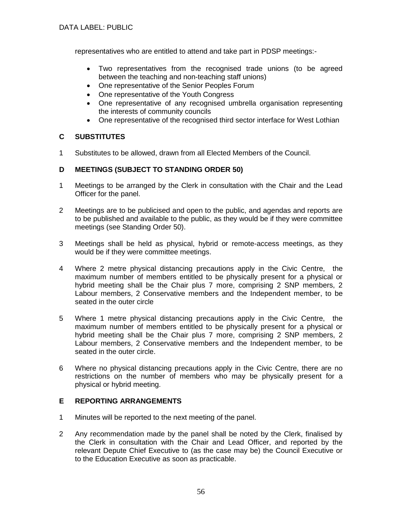representatives who are entitled to attend and take part in PDSP meetings:-

- Two representatives from the recognised trade unions (to be agreed between the teaching and non-teaching staff unions)
- One representative of the Senior Peoples Forum
- One representative of the Youth Congress
- One representative of any recognised umbrella organisation representing the interests of community councils
- One representative of the recognised third sector interface for West Lothian

# **C SUBSTITUTES**

1 Substitutes to be allowed, drawn from all Elected Members of the Council.

## **D MEETINGS (SUBJECT TO STANDING ORDER 50)**

- 1 Meetings to be arranged by the Clerk in consultation with the Chair and the Lead Officer for the panel.
- 2 Meetings are to be publicised and open to the public, and agendas and reports are to be published and available to the public, as they would be if they were committee meetings (see Standing Order 50).
- 3 Meetings shall be held as physical, hybrid or remote-access meetings, as they would be if they were committee meetings.
- 4 Where 2 metre physical distancing precautions apply in the Civic Centre, the maximum number of members entitled to be physically present for a physical or hybrid meeting shall be the Chair plus 7 more, comprising 2 SNP members, 2 Labour members, 2 Conservative members and the Independent member, to be seated in the outer circle
- 5 Where 1 metre physical distancing precautions apply in the Civic Centre, the maximum number of members entitled to be physically present for a physical or hybrid meeting shall be the Chair plus 7 more, comprising 2 SNP members, 2 Labour members, 2 Conservative members and the Independent member, to be seated in the outer circle.
- 6 Where no physical distancing precautions apply in the Civic Centre, there are no restrictions on the number of members who may be physically present for a physical or hybrid meeting.

### **E REPORTING ARRANGEMENTS**

- 1 Minutes will be reported to the next meeting of the panel.
- 2 Any recommendation made by the panel shall be noted by the Clerk, finalised by the Clerk in consultation with the Chair and Lead Officer, and reported by the relevant Depute Chief Executive to (as the case may be) the Council Executive or to the Education Executive as soon as practicable.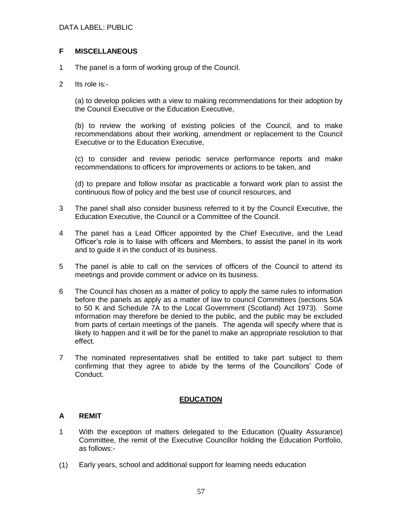#### **F MISCELLANEOUS**

- 1 The panel is a form of working group of the Council.
- 2 Its role is:-

(a) to develop policies with a view to making recommendations for their adoption by the Council Executive or the Education Executive,

(b) to review the working of existing policies of the Council, and to make recommendations about their working, amendment or replacement to the Council Executive or to the Education Executive,

(c) to consider and review periodic service performance reports and make recommendations to officers for improvements or actions to be taken, and

(d) to prepare and follow insofar as practicable a forward work plan to assist the continuous flow of policy and the best use of council resources, and

- 3 The panel shall also consider business referred to it by the Council Executive, the Education Executive, the Council or a Committee of the Council.
- 4 The panel has a Lead Officer appointed by the Chief Executive, and the Lead Officer's role is to liaise with officers and Members, to assist the panel in its work and to guide it in the conduct of its business.
- 5 The panel is able to call on the services of officers of the Council to attend its meetings and provide comment or advice on its business.
- 6 The Council has chosen as a matter of policy to apply the same rules to information before the panels as apply as a matter of law to council Committees (sections 50A to 50 K and Schedule 7A to the Local Government (Scotland) Act 1973). Some information may therefore be denied to the public, and the public may be excluded from parts of certain meetings of the panels. The agenda will specify where that is likely to happen and it will be for the panel to make an appropriate resolution to that effect.
- 7 The nominated representatives shall be entitled to take part subject to them confirming that they agree to abide by the terms of the Councillors' Code of Conduct.

#### **EDUCATION**

## **A REMIT**

- 1 With the exception of matters delegated to the Education (Quality Assurance) Committee, the remit of the Executive Councillor holding the Education Portfolio, as follows:-
- (1) Early years, school and additional support for learning needs education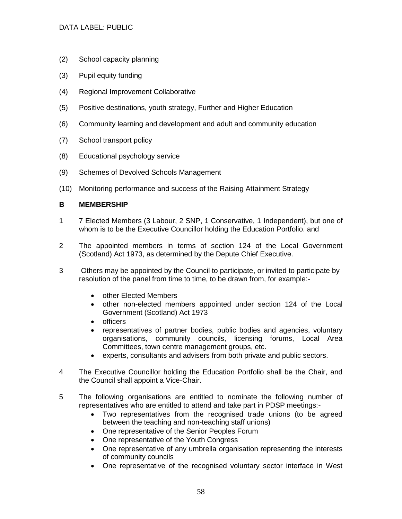- (2) School capacity planning
- (3) Pupil equity funding
- (4) Regional Improvement Collaborative
- (5) Positive destinations, youth strategy, Further and Higher Education
- (6) Community learning and development and adult and community education
- (7) School transport policy
- (8) Educational psychology service
- (9) Schemes of Devolved Schools Management
- (10) Monitoring performance and success of the Raising Attainment Strategy

### **B MEMBERSHIP**

- 1 7 Elected Members (3 Labour, 2 SNP, 1 Conservative, 1 Independent), but one of whom is to be the Executive Councillor holding the Education Portfolio. and
- 2 The appointed members in terms of section 124 of the Local Government (Scotland) Act 1973, as determined by the Depute Chief Executive.
- 3 Others may be appointed by the Council to participate, or invited to participate by resolution of the panel from time to time, to be drawn from, for example:-
	- other Elected Members
	- other non-elected members appointed under section 124 of the Local Government (Scotland) Act 1973
	- officers
	- representatives of partner bodies, public bodies and agencies, voluntary organisations, community councils, licensing forums, Local Area Committees, town centre management groups, etc.
	- experts, consultants and advisers from both private and public sectors.
- 4 The Executive Councillor holding the Education Portfolio shall be the Chair, and the Council shall appoint a Vice-Chair.
- 5 The following organisations are entitled to nominate the following number of representatives who are entitled to attend and take part in PDSP meetings:-
	- Two representatives from the recognised trade unions (to be agreed between the teaching and non-teaching staff unions)
	- One representative of the Senior Peoples Forum
	- One representative of the Youth Congress
	- One representative of any umbrella organisation representing the interests of community councils
	- One representative of the recognised voluntary sector interface in West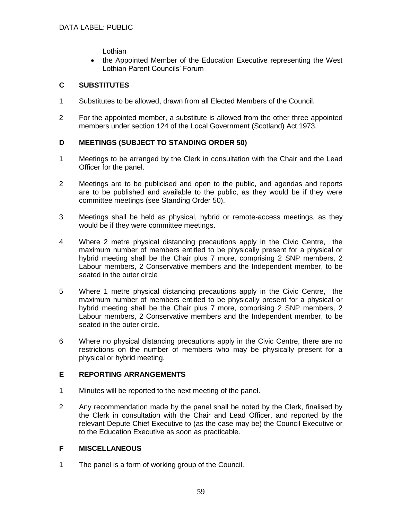Lothian

• the Appointed Member of the Education Executive representing the West Lothian Parent Councils' Forum

# **C SUBSTITUTES**

- 1 Substitutes to be allowed, drawn from all Elected Members of the Council.
- 2 For the appointed member, a substitute is allowed from the other three appointed members under section 124 of the Local Government (Scotland) Act 1973.

# **D MEETINGS (SUBJECT TO STANDING ORDER 50)**

- 1 Meetings to be arranged by the Clerk in consultation with the Chair and the Lead Officer for the panel.
- 2 Meetings are to be publicised and open to the public, and agendas and reports are to be published and available to the public, as they would be if they were committee meetings (see Standing Order 50).
- 3 Meetings shall be held as physical, hybrid or remote-access meetings, as they would be if they were committee meetings.
- 4 Where 2 metre physical distancing precautions apply in the Civic Centre, the maximum number of members entitled to be physically present for a physical or hybrid meeting shall be the Chair plus 7 more, comprising 2 SNP members, 2 Labour members, 2 Conservative members and the Independent member, to be seated in the outer circle
- 5 Where 1 metre physical distancing precautions apply in the Civic Centre, the maximum number of members entitled to be physically present for a physical or hybrid meeting shall be the Chair plus 7 more, comprising 2 SNP members, 2 Labour members, 2 Conservative members and the Independent member, to be seated in the outer circle.
- 6 Where no physical distancing precautions apply in the Civic Centre, there are no restrictions on the number of members who may be physically present for a physical or hybrid meeting.

# **E REPORTING ARRANGEMENTS**

- 1 Minutes will be reported to the next meeting of the panel.
- 2 Any recommendation made by the panel shall be noted by the Clerk, finalised by the Clerk in consultation with the Chair and Lead Officer, and reported by the relevant Depute Chief Executive to (as the case may be) the Council Executive or to the Education Executive as soon as practicable.

# **F MISCELLANEOUS**

1 The panel is a form of working group of the Council.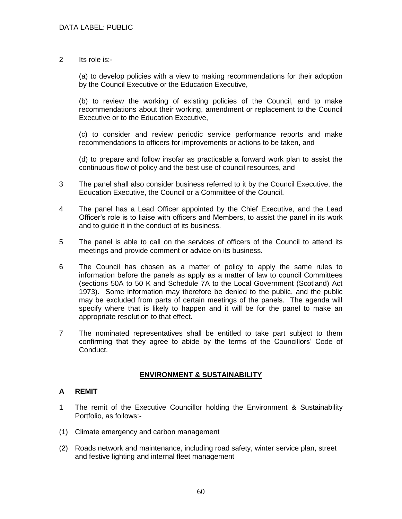2 Its role is:-

(a) to develop policies with a view to making recommendations for their adoption by the Council Executive or the Education Executive,

(b) to review the working of existing policies of the Council, and to make recommendations about their working, amendment or replacement to the Council Executive or to the Education Executive,

(c) to consider and review periodic service performance reports and make recommendations to officers for improvements or actions to be taken, and

(d) to prepare and follow insofar as practicable a forward work plan to assist the continuous flow of policy and the best use of council resources, and

- 3 The panel shall also consider business referred to it by the Council Executive, the Education Executive, the Council or a Committee of the Council.
- 4 The panel has a Lead Officer appointed by the Chief Executive, and the Lead Officer's role is to liaise with officers and Members, to assist the panel in its work and to guide it in the conduct of its business.
- 5 The panel is able to call on the services of officers of the Council to attend its meetings and provide comment or advice on its business.
- 6 The Council has chosen as a matter of policy to apply the same rules to information before the panels as apply as a matter of law to council Committees (sections 50A to 50 K and Schedule 7A to the Local Government (Scotland) Act 1973). Some information may therefore be denied to the public, and the public may be excluded from parts of certain meetings of the panels. The agenda will specify where that is likely to happen and it will be for the panel to make an appropriate resolution to that effect.
- 7 The nominated representatives shall be entitled to take part subject to them confirming that they agree to abide by the terms of the Councillors' Code of Conduct.

### **ENVIRONMENT & SUSTAINABILITY**

### **A REMIT**

- 1 The remit of the Executive Councillor holding the Environment & Sustainability Portfolio, as follows:-
- (1) Climate emergency and carbon management
- (2) Roads network and maintenance, including road safety, winter service plan, street and festive lighting and internal fleet management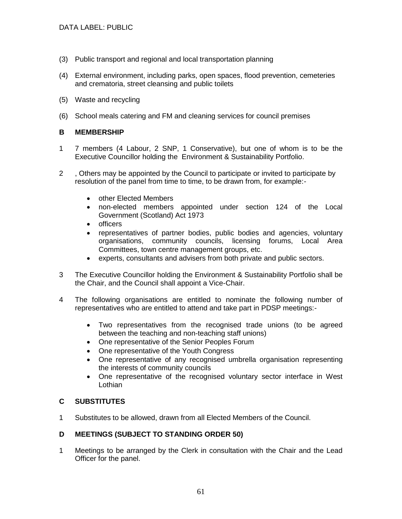- (3) Public transport and regional and local transportation planning
- (4) External environment, including parks, open spaces, flood prevention, cemeteries and crematoria, street cleansing and public toilets
- (5) Waste and recycling
- (6) School meals catering and FM and cleaning services for council premises

## **B MEMBERSHIP**

- 1 7 members (4 Labour, 2 SNP, 1 Conservative), but one of whom is to be the Executive Councillor holding the Environment & Sustainability Portfolio.
- 2 , Others may be appointed by the Council to participate or invited to participate by resolution of the panel from time to time, to be drawn from, for example:-
	- other Elected Members
	- non-elected members appointed under section 124 of the Local Government (Scotland) Act 1973
	- officers
	- representatives of partner bodies, public bodies and agencies, voluntary organisations, community councils, licensing forums, Local Area Committees, town centre management groups, etc.
	- experts, consultants and advisers from both private and public sectors.
- 3 The Executive Councillor holding the Environment & Sustainability Portfolio shall be the Chair, and the Council shall appoint a Vice-Chair.
- 4 The following organisations are entitled to nominate the following number of representatives who are entitled to attend and take part in PDSP meetings:-
	- Two representatives from the recognised trade unions (to be agreed between the teaching and non-teaching staff unions)
	- One representative of the Senior Peoples Forum
	- One representative of the Youth Congress
	- One representative of any recognised umbrella organisation representing the interests of community councils
	- One representative of the recognised voluntary sector interface in West Lothian

# **C SUBSTITUTES**

1 Substitutes to be allowed, drawn from all Elected Members of the Council.

# **D MEETINGS (SUBJECT TO STANDING ORDER 50)**

1 Meetings to be arranged by the Clerk in consultation with the Chair and the Lead Officer for the panel.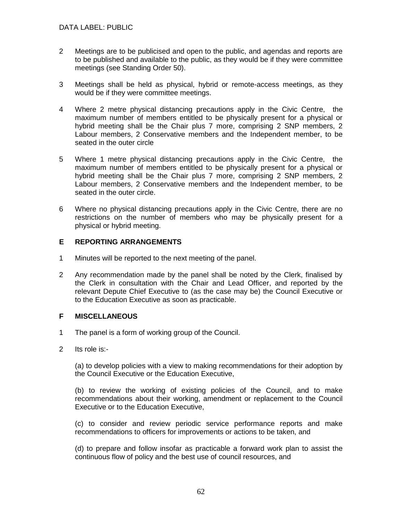- 2 Meetings are to be publicised and open to the public, and agendas and reports are to be published and available to the public, as they would be if they were committee meetings (see Standing Order 50).
- 3 Meetings shall be held as physical, hybrid or remote-access meetings, as they would be if they were committee meetings.
- 4 Where 2 metre physical distancing precautions apply in the Civic Centre, the maximum number of members entitled to be physically present for a physical or hybrid meeting shall be the Chair plus 7 more, comprising 2 SNP members, 2 Labour members, 2 Conservative members and the Independent member, to be seated in the outer circle
- 5 Where 1 metre physical distancing precautions apply in the Civic Centre, the maximum number of members entitled to be physically present for a physical or hybrid meeting shall be the Chair plus 7 more, comprising 2 SNP members, 2 Labour members, 2 Conservative members and the Independent member, to be seated in the outer circle.
- 6 Where no physical distancing precautions apply in the Civic Centre, there are no restrictions on the number of members who may be physically present for a physical or hybrid meeting.

## **E REPORTING ARRANGEMENTS**

- 1 Minutes will be reported to the next meeting of the panel.
- 2 Any recommendation made by the panel shall be noted by the Clerk, finalised by the Clerk in consultation with the Chair and Lead Officer, and reported by the relevant Depute Chief Executive to (as the case may be) the Council Executive or to the Education Executive as soon as practicable.

#### **F MISCELLANEOUS**

- 1 The panel is a form of working group of the Council.
- 2 Its role is:-

(a) to develop policies with a view to making recommendations for their adoption by the Council Executive or the Education Executive,

(b) to review the working of existing policies of the Council, and to make recommendations about their working, amendment or replacement to the Council Executive or to the Education Executive,

(c) to consider and review periodic service performance reports and make recommendations to officers for improvements or actions to be taken, and

(d) to prepare and follow insofar as practicable a forward work plan to assist the continuous flow of policy and the best use of council resources, and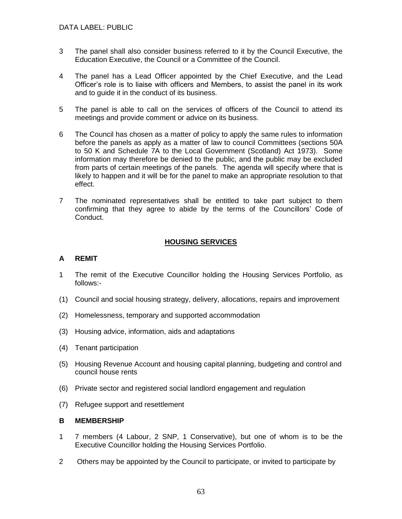- 3 The panel shall also consider business referred to it by the Council Executive, the Education Executive, the Council or a Committee of the Council.
- 4 The panel has a Lead Officer appointed by the Chief Executive, and the Lead Officer's role is to liaise with officers and Members, to assist the panel in its work and to guide it in the conduct of its business.
- 5 The panel is able to call on the services of officers of the Council to attend its meetings and provide comment or advice on its business.
- 6 The Council has chosen as a matter of policy to apply the same rules to information before the panels as apply as a matter of law to council Committees (sections 50A to 50 K and Schedule 7A to the Local Government (Scotland) Act 1973). Some information may therefore be denied to the public, and the public may be excluded from parts of certain meetings of the panels. The agenda will specify where that is likely to happen and it will be for the panel to make an appropriate resolution to that effect.
- 7 The nominated representatives shall be entitled to take part subject to them confirming that they agree to abide by the terms of the Councillors' Code of Conduct.

### **HOUSING SERVICES**

## **A REMIT**

- 1 The remit of the Executive Councillor holding the Housing Services Portfolio, as follows:-
- (1) Council and social housing strategy, delivery, allocations, repairs and improvement
- (2) Homelessness, temporary and supported accommodation
- (3) Housing advice, information, aids and adaptations
- (4) Tenant participation
- (5) Housing Revenue Account and housing capital planning, budgeting and control and council house rents
- (6) Private sector and registered social landlord engagement and regulation
- (7) Refugee support and resettlement

### **B MEMBERSHIP**

- 1 7 members (4 Labour, 2 SNP, 1 Conservative), but one of whom is to be the Executive Councillor holding the Housing Services Portfolio.
- 2 Others may be appointed by the Council to participate, or invited to participate by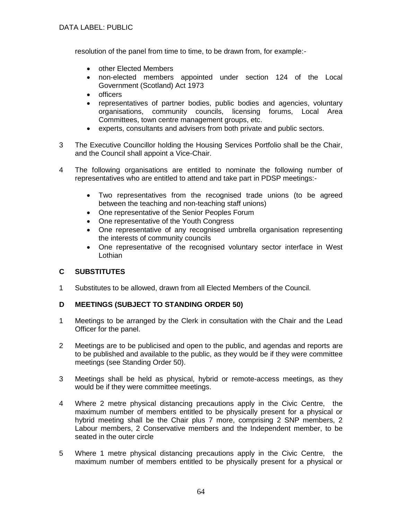resolution of the panel from time to time, to be drawn from, for example:-

- other Elected Members
- non-elected members appointed under section 124 of the Local Government (Scotland) Act 1973
- officers
- representatives of partner bodies, public bodies and agencies, voluntary organisations, community councils, licensing forums, Local Area Committees, town centre management groups, etc.
- experts, consultants and advisers from both private and public sectors.
- 3 The Executive Councillor holding the Housing Services Portfolio shall be the Chair, and the Council shall appoint a Vice-Chair.
- 4 The following organisations are entitled to nominate the following number of representatives who are entitled to attend and take part in PDSP meetings:-
	- Two representatives from the recognised trade unions (to be agreed between the teaching and non-teaching staff unions)
	- One representative of the Senior Peoples Forum
	- One representative of the Youth Congress
	- One representative of any recognised umbrella organisation representing the interests of community councils
	- One representative of the recognised voluntary sector interface in West Lothian

# **C SUBSTITUTES**

1 Substitutes to be allowed, drawn from all Elected Members of the Council.

# **D MEETINGS (SUBJECT TO STANDING ORDER 50)**

- 1 Meetings to be arranged by the Clerk in consultation with the Chair and the Lead Officer for the panel.
- 2 Meetings are to be publicised and open to the public, and agendas and reports are to be published and available to the public, as they would be if they were committee meetings (see Standing Order 50).
- 3 Meetings shall be held as physical, hybrid or remote-access meetings, as they would be if they were committee meetings.
- 4 Where 2 metre physical distancing precautions apply in the Civic Centre, the maximum number of members entitled to be physically present for a physical or hybrid meeting shall be the Chair plus 7 more, comprising 2 SNP members, 2 Labour members, 2 Conservative members and the Independent member, to be seated in the outer circle
- 5 Where 1 metre physical distancing precautions apply in the Civic Centre, the maximum number of members entitled to be physically present for a physical or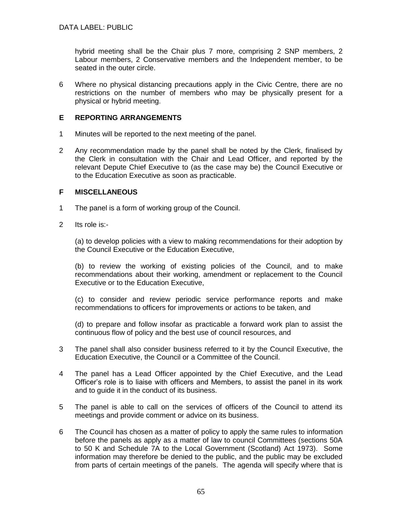hybrid meeting shall be the Chair plus 7 more, comprising 2 SNP members, 2 Labour members, 2 Conservative members and the Independent member, to be seated in the outer circle.

6 Where no physical distancing precautions apply in the Civic Centre, there are no restrictions on the number of members who may be physically present for a physical or hybrid meeting.

### **E REPORTING ARRANGEMENTS**

- 1 Minutes will be reported to the next meeting of the panel.
- 2 Any recommendation made by the panel shall be noted by the Clerk, finalised by the Clerk in consultation with the Chair and Lead Officer, and reported by the relevant Depute Chief Executive to (as the case may be) the Council Executive or to the Education Executive as soon as practicable.

## **F MISCELLANEOUS**

- 1 The panel is a form of working group of the Council.
- 2 Its role is:-

(a) to develop policies with a view to making recommendations for their adoption by the Council Executive or the Education Executive,

(b) to review the working of existing policies of the Council, and to make recommendations about their working, amendment or replacement to the Council Executive or to the Education Executive,

(c) to consider and review periodic service performance reports and make recommendations to officers for improvements or actions to be taken, and

(d) to prepare and follow insofar as practicable a forward work plan to assist the continuous flow of policy and the best use of council resources, and

- 3 The panel shall also consider business referred to it by the Council Executive, the Education Executive, the Council or a Committee of the Council.
- 4 The panel has a Lead Officer appointed by the Chief Executive, and the Lead Officer's role is to liaise with officers and Members, to assist the panel in its work and to guide it in the conduct of its business.
- 5 The panel is able to call on the services of officers of the Council to attend its meetings and provide comment or advice on its business.
- 6 The Council has chosen as a matter of policy to apply the same rules to information before the panels as apply as a matter of law to council Committees (sections 50A to 50 K and Schedule 7A to the Local Government (Scotland) Act 1973). Some information may therefore be denied to the public, and the public may be excluded from parts of certain meetings of the panels. The agenda will specify where that is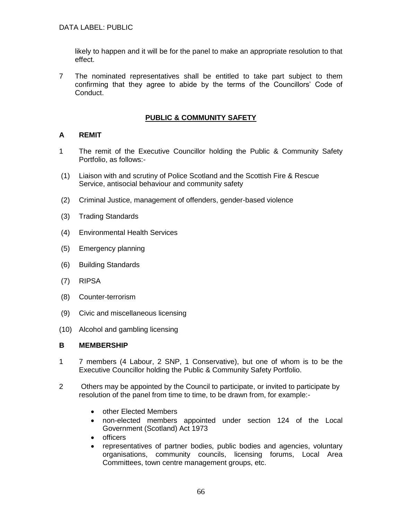likely to happen and it will be for the panel to make an appropriate resolution to that effect.

7 The nominated representatives shall be entitled to take part subject to them confirming that they agree to abide by the terms of the Councillors' Code of Conduct.

## **PUBLIC & COMMUNITY SAFETY**

## **A REMIT**

- 1 The remit of the Executive Councillor holding the Public & Community Safety Portfolio, as follows:-
- (1) Liaison with and scrutiny of Police Scotland and the Scottish Fire & Rescue Service, antisocial behaviour and community safety
- (2) Criminal Justice, management of offenders, gender-based violence
- (3) Trading Standards
- (4) Environmental Health Services
- (5) Emergency planning
- (6) Building Standards
- (7) RIPSA
- (8) Counter-terrorism
- (9) Civic and miscellaneous licensing
- (10) Alcohol and gambling licensing

### **B MEMBERSHIP**

- 1 7 members (4 Labour, 2 SNP, 1 Conservative), but one of whom is to be the Executive Councillor holding the Public & Community Safety Portfolio.
- 2 Others may be appointed by the Council to participate, or invited to participate by resolution of the panel from time to time, to be drawn from, for example:-
	- other Elected Members
	- non-elected members appointed under section 124 of the Local Government (Scotland) Act 1973
	- officers
	- representatives of partner bodies, public bodies and agencies, voluntary organisations, community councils, licensing forums, Local Area Committees, town centre management groups, etc.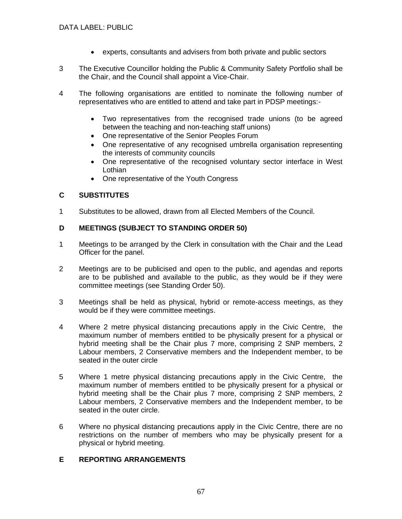- experts, consultants and advisers from both private and public sectors
- 3 The Executive Councillor holding the Public & Community Safety Portfolio shall be the Chair, and the Council shall appoint a Vice-Chair.
- 4 The following organisations are entitled to nominate the following number of representatives who are entitled to attend and take part in PDSP meetings:-
	- Two representatives from the recognised trade unions (to be agreed between the teaching and non-teaching staff unions)
	- One representative of the Senior Peoples Forum
	- One representative of any recognised umbrella organisation representing the interests of community councils
	- One representative of the recognised voluntary sector interface in West Lothian
	- One representative of the Youth Congress

# **C SUBSTITUTES**

1 Substitutes to be allowed, drawn from all Elected Members of the Council.

## **D MEETINGS (SUBJECT TO STANDING ORDER 50)**

- 1 Meetings to be arranged by the Clerk in consultation with the Chair and the Lead Officer for the panel.
- 2 Meetings are to be publicised and open to the public, and agendas and reports are to be published and available to the public, as they would be if they were committee meetings (see Standing Order 50).
- 3 Meetings shall be held as physical, hybrid or remote-access meetings, as they would be if they were committee meetings.
- 4 Where 2 metre physical distancing precautions apply in the Civic Centre, the maximum number of members entitled to be physically present for a physical or hybrid meeting shall be the Chair plus 7 more, comprising 2 SNP members, 2 Labour members, 2 Conservative members and the Independent member, to be seated in the outer circle
- 5 Where 1 metre physical distancing precautions apply in the Civic Centre, the maximum number of members entitled to be physically present for a physical or hybrid meeting shall be the Chair plus 7 more, comprising 2 SNP members, 2 Labour members, 2 Conservative members and the Independent member, to be seated in the outer circle.
- 6 Where no physical distancing precautions apply in the Civic Centre, there are no restrictions on the number of members who may be physically present for a physical or hybrid meeting.

# **E REPORTING ARRANGEMENTS**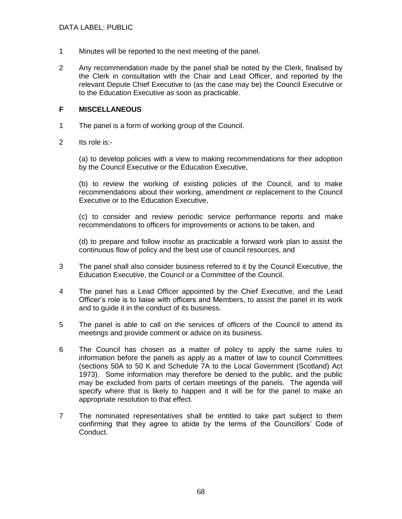- 1 Minutes will be reported to the next meeting of the panel.
- 2 Any recommendation made by the panel shall be noted by the Clerk, finalised by the Clerk in consultation with the Chair and Lead Officer, and reported by the relevant Depute Chief Executive to (as the case may be) the Council Executive or to the Education Executive as soon as practicable.

#### **F MISCELLANEOUS**

- 1 The panel is a form of working group of the Council.
- 2 Its role is:-

(a) to develop policies with a view to making recommendations for their adoption by the Council Executive or the Education Executive,

(b) to review the working of existing policies of the Council, and to make recommendations about their working, amendment or replacement to the Council Executive or to the Education Executive,

(c) to consider and review periodic service performance reports and make recommendations to officers for improvements or actions to be taken, and

(d) to prepare and follow insofar as practicable a forward work plan to assist the continuous flow of policy and the best use of council resources, and

- 3 The panel shall also consider business referred to it by the Council Executive, the Education Executive, the Council or a Committee of the Council.
- 4 The panel has a Lead Officer appointed by the Chief Executive, and the Lead Officer's role is to liaise with officers and Members, to assist the panel in its work and to guide it in the conduct of its business.
- 5 The panel is able to call on the services of officers of the Council to attend its meetings and provide comment or advice on its business.
- 6 The Council has chosen as a matter of policy to apply the same rules to information before the panels as apply as a matter of law to council Committees (sections 50A to 50 K and Schedule 7A to the Local Government (Scotland) Act 1973). Some information may therefore be denied to the public, and the public may be excluded from parts of certain meetings of the panels. The agenda will specify where that is likely to happen and it will be for the panel to make an appropriate resolution to that effect.
- 7 The nominated representatives shall be entitled to take part subject to them confirming that they agree to abide by the terms of the Councillors' Code of Conduct.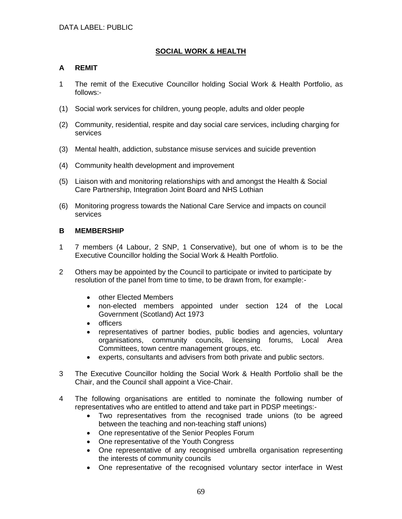## **SOCIAL WORK & HEALTH**

## **A REMIT**

- 1 The remit of the Executive Councillor holding Social Work & Health Portfolio, as follows:-
- (1) Social work services for children, young people, adults and older people
- (2) Community, residential, respite and day social care services, including charging for services
- (3) Mental health, addiction, substance misuse services and suicide prevention
- (4) Community health development and improvement
- (5) Liaison with and monitoring relationships with and amongst the Health & Social Care Partnership, Integration Joint Board and NHS Lothian
- (6) Monitoring progress towards the National Care Service and impacts on council services

### **B MEMBERSHIP**

- 1 7 members (4 Labour, 2 SNP, 1 Conservative), but one of whom is to be the Executive Councillor holding the Social Work & Health Portfolio.
- 2 Others may be appointed by the Council to participate or invited to participate by resolution of the panel from time to time, to be drawn from, for example:-
	- other Elected Members
	- non-elected members appointed under section 124 of the Local Government (Scotland) Act 1973
	- officers
	- representatives of partner bodies, public bodies and agencies, voluntary organisations, community councils, licensing forums, Local Area Committees, town centre management groups, etc.
	- experts, consultants and advisers from both private and public sectors.
- 3 The Executive Councillor holding the Social Work & Health Portfolio shall be the Chair, and the Council shall appoint a Vice-Chair.
- 4 The following organisations are entitled to nominate the following number of representatives who are entitled to attend and take part in PDSP meetings:-
	- Two representatives from the recognised trade unions (to be agreed between the teaching and non-teaching staff unions)
	- One representative of the Senior Peoples Forum
	- One representative of the Youth Congress
	- One representative of any recognised umbrella organisation representing the interests of community councils
	- One representative of the recognised voluntary sector interface in West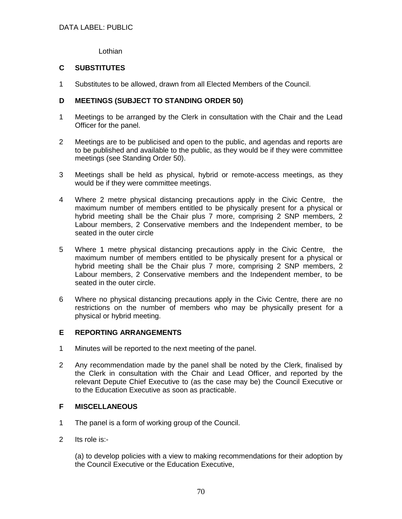Lothian

## **C SUBSTITUTES**

1 Substitutes to be allowed, drawn from all Elected Members of the Council.

## **D MEETINGS (SUBJECT TO STANDING ORDER 50)**

- 1 Meetings to be arranged by the Clerk in consultation with the Chair and the Lead Officer for the panel.
- 2 Meetings are to be publicised and open to the public, and agendas and reports are to be published and available to the public, as they would be if they were committee meetings (see Standing Order 50).
- 3 Meetings shall be held as physical, hybrid or remote-access meetings, as they would be if they were committee meetings.
- 4 Where 2 metre physical distancing precautions apply in the Civic Centre, the maximum number of members entitled to be physically present for a physical or hybrid meeting shall be the Chair plus 7 more, comprising 2 SNP members, 2 Labour members, 2 Conservative members and the Independent member, to be seated in the outer circle
- 5 Where 1 metre physical distancing precautions apply in the Civic Centre, the maximum number of members entitled to be physically present for a physical or hybrid meeting shall be the Chair plus 7 more, comprising 2 SNP members, 2 Labour members, 2 Conservative members and the Independent member, to be seated in the outer circle.
- 6 Where no physical distancing precautions apply in the Civic Centre, there are no restrictions on the number of members who may be physically present for a physical or hybrid meeting.

## **E REPORTING ARRANGEMENTS**

- 1 Minutes will be reported to the next meeting of the panel.
- 2 Any recommendation made by the panel shall be noted by the Clerk, finalised by the Clerk in consultation with the Chair and Lead Officer, and reported by the relevant Depute Chief Executive to (as the case may be) the Council Executive or to the Education Executive as soon as practicable.

### **F MISCELLANEOUS**

- 1 The panel is a form of working group of the Council.
- 2 Its role is:-

(a) to develop policies with a view to making recommendations for their adoption by the Council Executive or the Education Executive,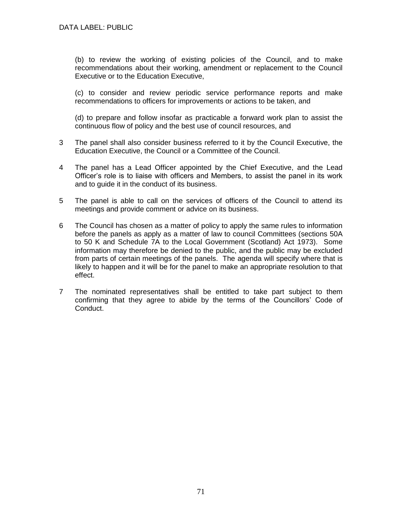(b) to review the working of existing policies of the Council, and to make recommendations about their working, amendment or replacement to the Council Executive or to the Education Executive,

(c) to consider and review periodic service performance reports and make recommendations to officers for improvements or actions to be taken, and

(d) to prepare and follow insofar as practicable a forward work plan to assist the continuous flow of policy and the best use of council resources, and

- 3 The panel shall also consider business referred to it by the Council Executive, the Education Executive, the Council or a Committee of the Council.
- 4 The panel has a Lead Officer appointed by the Chief Executive, and the Lead Officer's role is to liaise with officers and Members, to assist the panel in its work and to guide it in the conduct of its business.
- 5 The panel is able to call on the services of officers of the Council to attend its meetings and provide comment or advice on its business.
- 6 The Council has chosen as a matter of policy to apply the same rules to information before the panels as apply as a matter of law to council Committees (sections 50A to 50 K and Schedule 7A to the Local Government (Scotland) Act 1973). Some information may therefore be denied to the public, and the public may be excluded from parts of certain meetings of the panels. The agenda will specify where that is likely to happen and it will be for the panel to make an appropriate resolution to that effect.
- 7 The nominated representatives shall be entitled to take part subject to them confirming that they agree to abide by the terms of the Councillors' Code of Conduct.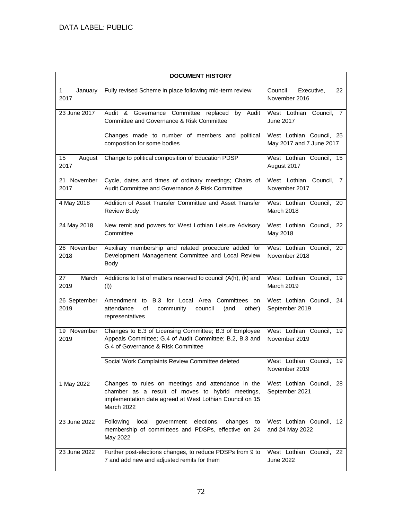| <b>DOCUMENT HISTORY</b>         |                                                                                                                                                                                  |                                                      |
|---------------------------------|----------------------------------------------------------------------------------------------------------------------------------------------------------------------------------|------------------------------------------------------|
| $\mathbf{1}$<br>January<br>2017 | Fully revised Scheme in place following mid-term review                                                                                                                          | Council<br>Executive,<br>22<br>November 2016         |
| 23 June 2017                    | Audit & Governance Committee replaced<br>by Audit<br>Committee and Governance & Risk Committee                                                                                   | West Lothian Council,<br>7<br><b>June 2017</b>       |
|                                 | Changes made to number of members and political<br>composition for some bodies                                                                                                   | West Lothian Council, 25<br>May 2017 and 7 June 2017 |
| 15<br>August<br>2017            | Change to political composition of Education PDSP                                                                                                                                | West Lothian Council, 15<br>August 2017              |
| 21 November<br>2017             | Cycle, dates and times of ordinary meetings; Chairs of<br>Audit Committee and Governance & Risk Committee                                                                        | West Lothian Council,<br>7<br>November 2017          |
| 4 May 2018                      | Addition of Asset Transfer Committee and Asset Transfer<br><b>Review Body</b>                                                                                                    | West Lothian Council, 20<br><b>March 2018</b>        |
| 24 May 2018                     | New remit and powers for West Lothian Leisure Advisory<br>Committee                                                                                                              | West Lothian Council, 22<br>May 2018                 |
| 26 November<br>2018             | Auxiliary membership and related procedure added for<br>Development Management Committee and Local Review<br>Body                                                                | West Lothian Council, 20<br>November 2018            |
| March<br>27<br>2019             | Additions to list of matters reserved to council (A(h), (k) and<br>(1)                                                                                                           | West Lothian Council, 19<br><b>March 2019</b>        |
| 26 September<br>2019            | B.3 for Local Area Committees on<br>Amendment to<br>attendance<br>of<br>community<br>council<br>(and<br>other)<br>representatives                                                | West Lothian Council, 24<br>September 2019           |
| 19 November<br>2019             | Changes to E.3 of Licensing Committee; B.3 of Employee<br>Appeals Committee; G.4 of Audit Committee; B.2, B.3 and<br>G.4 of Governance & Risk Committee                          | West Lothian Council, 19<br>November 2019            |
|                                 | Social Work Complaints Review Committee deleted                                                                                                                                  | West Lothian Council,<br>19<br>November 2019         |
| 1 May 2022                      | Changes to rules on meetings and attendance in the<br>chamber as a result of moves to hybrid meetings,<br>implementation date agreed at West Lothian Council on 15<br>March 2022 | West Lothian Council, 28<br>September 2021           |
| 23 June 2022                    | local<br>Following<br>government elections,<br>changes<br>to<br>membership of committees and PDSPs, effective on 24<br>May 2022                                                  | West Lothian Council, 12<br>and 24 May 2022          |
| 23 June 2022                    | Further post-elections changes, to reduce PDSPs from 9 to<br>7 and add new and adjusted remits for them                                                                          | West Lothian Council, 22<br>June 2022                |